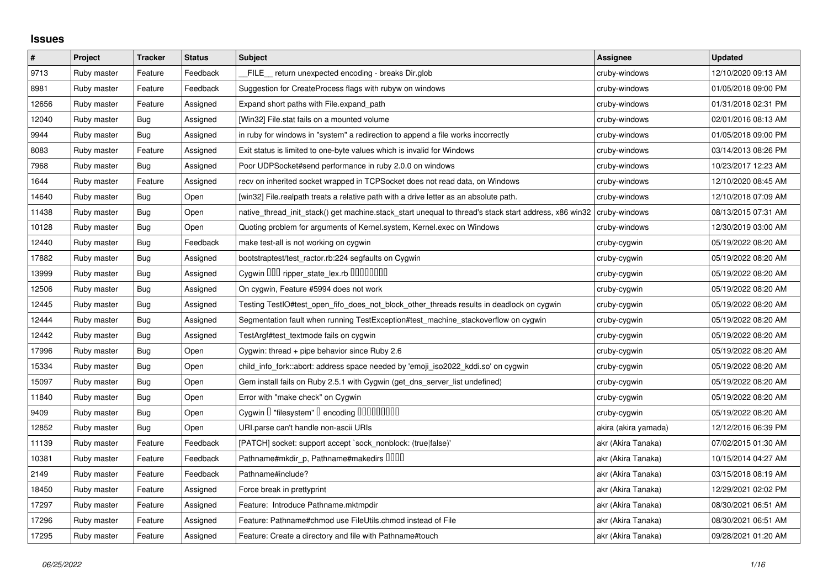## **Issues**

| $\vert$ # | Project     | <b>Tracker</b> | <b>Status</b> | <b>Subject</b>                                                                                        | <b>Assignee</b>      | <b>Updated</b>      |
|-----------|-------------|----------------|---------------|-------------------------------------------------------------------------------------------------------|----------------------|---------------------|
| 9713      | Ruby master | Feature        | Feedback      | FILE return unexpected encoding - breaks Dir.glob                                                     | cruby-windows        | 12/10/2020 09:13 AM |
| 8981      | Ruby master | Feature        | Feedback      | Suggestion for CreateProcess flags with rubyw on windows                                              | cruby-windows        | 01/05/2018 09:00 PM |
| 12656     | Ruby master | Feature        | Assigned      | Expand short paths with File.expand_path                                                              | cruby-windows        | 01/31/2018 02:31 PM |
| 12040     | Ruby master | Bug            | Assigned      | [Win32] File.stat fails on a mounted volume                                                           | cruby-windows        | 02/01/2016 08:13 AM |
| 9944      | Ruby master | Bug            | Assigned      | in ruby for windows in "system" a redirection to append a file works incorrectly                      | cruby-windows        | 01/05/2018 09:00 PM |
| 8083      | Ruby master | Feature        | Assigned      | Exit status is limited to one-byte values which is invalid for Windows                                | cruby-windows        | 03/14/2013 08:26 PM |
| 7968      | Ruby master | Bug            | Assigned      | Poor UDPSocket#send performance in ruby 2.0.0 on windows                                              | cruby-windows        | 10/23/2017 12:23 AM |
| 1644      | Ruby master | Feature        | Assigned      | recv on inherited socket wrapped in TCPSocket does not read data, on Windows                          | cruby-windows        | 12/10/2020 08:45 AM |
| 14640     | Ruby master | Bug            | Open          | [win32] File.realpath treats a relative path with a drive letter as an absolute path.                 | cruby-windows        | 12/10/2018 07:09 AM |
| 11438     | Ruby master | Bug            | Open          | native_thread_init_stack() get machine.stack_start unequal to thread's stack start address, x86 win32 | cruby-windows        | 08/13/2015 07:31 AM |
| 10128     | Ruby master | Bug            | Open          | Quoting problem for arguments of Kernel.system, Kernel.exec on Windows                                | cruby-windows        | 12/30/2019 03:00 AM |
| 12440     | Ruby master | <b>Bug</b>     | Feedback      | make test-all is not working on cygwin                                                                | cruby-cygwin         | 05/19/2022 08:20 AM |
| 17882     | Ruby master | <b>Bug</b>     | Assigned      | bootstraptest/test_ractor.rb:224 segfaults on Cygwin                                                  | cruby-cygwin         | 05/19/2022 08:20 AM |
| 13999     | Ruby master | Bug            | Assigned      | Cygwin 000 ripper_state_lex.rb 00000000                                                               | cruby-cygwin         | 05/19/2022 08:20 AM |
| 12506     | Ruby master | <b>Bug</b>     | Assigned      | On cygwin, Feature #5994 does not work                                                                | cruby-cygwin         | 05/19/2022 08:20 AM |
| 12445     | Ruby master | Bug            | Assigned      | Testing TestIO#test_open_fifo_does_not_block_other_threads results in deadlock on cygwin              | cruby-cygwin         | 05/19/2022 08:20 AM |
| 12444     | Ruby master | Bug            | Assigned      | Segmentation fault when running TestException#test_machine_stackoverflow on cygwin                    | cruby-cygwin         | 05/19/2022 08:20 AM |
| 12442     | Ruby master | <b>Bug</b>     | Assigned      | TestArgf#test textmode fails on cygwin                                                                | cruby-cygwin         | 05/19/2022 08:20 AM |
| 17996     | Ruby master | <b>Bug</b>     | Open          | Cygwin: thread + pipe behavior since Ruby 2.6                                                         | cruby-cygwin         | 05/19/2022 08:20 AM |
| 15334     | Ruby master | <b>Bug</b>     | Open          | child info fork::abort: address space needed by 'emoji iso2022 kddi.so' on cygwin                     | cruby-cygwin         | 05/19/2022 08:20 AM |
| 15097     | Ruby master | <b>Bug</b>     | Open          | Gem install fails on Ruby 2.5.1 with Cygwin (get_dns_server_list undefined)                           | cruby-cygwin         | 05/19/2022 08:20 AM |
| 11840     | Ruby master | <b>Bug</b>     | Open          | Error with "make check" on Cygwin                                                                     | cruby-cygwin         | 05/19/2022 08:20 AM |
| 9409      | Ruby master | Bug            | Open          | Cygwin I "filesystem" I encoding IIIIIIIIIIII                                                         | cruby-cygwin         | 05/19/2022 08:20 AM |
| 12852     | Ruby master | <b>Bug</b>     | Open          | URI.parse can't handle non-ascii URIs                                                                 | akira (akira yamada) | 12/12/2016 06:39 PM |
| 11139     | Ruby master | Feature        | Feedback      | [PATCH] socket: support accept `sock_nonblock: (true false)'                                          | akr (Akira Tanaka)   | 07/02/2015 01:30 AM |
| 10381     | Ruby master | Feature        | Feedback      | Pathname#mkdir_p, Pathname#makedirs IIIII                                                             | akr (Akira Tanaka)   | 10/15/2014 04:27 AM |
| 2149      | Ruby master | Feature        | Feedback      | Pathname#include?                                                                                     | akr (Akira Tanaka)   | 03/15/2018 08:19 AM |
| 18450     | Ruby master | Feature        | Assigned      | Force break in prettyprint                                                                            | akr (Akira Tanaka)   | 12/29/2021 02:02 PM |
| 17297     | Ruby master | Feature        | Assigned      | Feature: Introduce Pathname.mktmpdir                                                                  | akr (Akira Tanaka)   | 08/30/2021 06:51 AM |
| 17296     | Ruby master | Feature        | Assigned      | Feature: Pathname#chmod use FileUtils.chmod instead of File                                           | akr (Akira Tanaka)   | 08/30/2021 06:51 AM |
| 17295     | Ruby master | Feature        | Assigned      | Feature: Create a directory and file with Pathname#touch                                              | akr (Akira Tanaka)   | 09/28/2021 01:20 AM |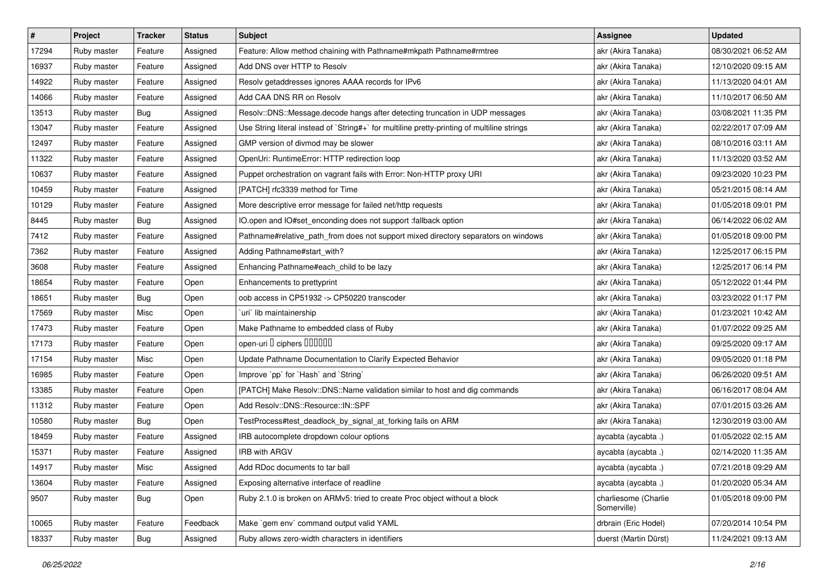| #     | Project     | <b>Tracker</b> | <b>Status</b> | Subject                                                                                     | <b>Assignee</b>                     | <b>Updated</b>      |
|-------|-------------|----------------|---------------|---------------------------------------------------------------------------------------------|-------------------------------------|---------------------|
| 17294 | Ruby master | Feature        | Assigned      | Feature: Allow method chaining with Pathname#mkpath Pathname#rmtree                         | akr (Akira Tanaka)                  | 08/30/2021 06:52 AM |
| 16937 | Ruby master | Feature        | Assigned      | Add DNS over HTTP to Resolv                                                                 | akr (Akira Tanaka)                  | 12/10/2020 09:15 AM |
| 14922 | Ruby master | Feature        | Assigned      | Resolv getaddresses ignores AAAA records for IPv6                                           | akr (Akira Tanaka)                  | 11/13/2020 04:01 AM |
| 14066 | Ruby master | Feature        | Assigned      | Add CAA DNS RR on Resolv                                                                    | akr (Akira Tanaka)                  | 11/10/2017 06:50 AM |
| 13513 | Ruby master | Bug            | Assigned      | Resolv::DNS::Message.decode hangs after detecting truncation in UDP messages                | akr (Akira Tanaka)                  | 03/08/2021 11:35 PM |
| 13047 | Ruby master | Feature        | Assigned      | Use String literal instead of `String#+` for multiline pretty-printing of multiline strings | akr (Akira Tanaka)                  | 02/22/2017 07:09 AM |
| 12497 | Ruby master | Feature        | Assigned      | GMP version of divmod may be slower                                                         | akr (Akira Tanaka)                  | 08/10/2016 03:11 AM |
| 11322 | Ruby master | Feature        | Assigned      | OpenUri: RuntimeError: HTTP redirection loop                                                | akr (Akira Tanaka)                  | 11/13/2020 03:52 AM |
| 10637 | Ruby master | Feature        | Assigned      | Puppet orchestration on vagrant fails with Error: Non-HTTP proxy URI                        | akr (Akira Tanaka)                  | 09/23/2020 10:23 PM |
| 10459 | Ruby master | Feature        | Assigned      | [PATCH] rfc3339 method for Time                                                             | akr (Akira Tanaka)                  | 05/21/2015 08:14 AM |
| 10129 | Ruby master | Feature        | Assigned      | More descriptive error message for failed net/http requests                                 | akr (Akira Tanaka)                  | 01/05/2018 09:01 PM |
| 8445  | Ruby master | <b>Bug</b>     | Assigned      | IO.open and IO#set_enconding does not support :fallback option                              | akr (Akira Tanaka)                  | 06/14/2022 06:02 AM |
| 7412  | Ruby master | Feature        | Assigned      | Pathname#relative_path_from does not support mixed directory separators on windows          | akr (Akira Tanaka)                  | 01/05/2018 09:00 PM |
| 7362  | Ruby master | Feature        | Assigned      | Adding Pathname#start_with?                                                                 | akr (Akira Tanaka)                  | 12/25/2017 06:15 PM |
| 3608  | Ruby master | Feature        | Assigned      | Enhancing Pathname#each_child to be lazy                                                    | akr (Akira Tanaka)                  | 12/25/2017 06:14 PM |
| 18654 | Ruby master | Feature        | Open          | Enhancements to prettyprint                                                                 | akr (Akira Tanaka)                  | 05/12/2022 01:44 PM |
| 18651 | Ruby master | Bug            | Open          | oob access in CP51932 -> CP50220 transcoder                                                 | akr (Akira Tanaka)                  | 03/23/2022 01:17 PM |
| 17569 | Ruby master | Misc           | Open          | uri` lib maintainership                                                                     | akr (Akira Tanaka)                  | 01/23/2021 10:42 AM |
| 17473 | Ruby master | Feature        | Open          | Make Pathname to embedded class of Ruby                                                     | akr (Akira Tanaka)                  | 01/07/2022 09:25 AM |
| 17173 | Ruby master | Feature        | Open          | open-uri I ciphers IIIIIII                                                                  | akr (Akira Tanaka)                  | 09/25/2020 09:17 AM |
| 17154 | Ruby master | Misc           | Open          | Update Pathname Documentation to Clarify Expected Behavior                                  | akr (Akira Tanaka)                  | 09/05/2020 01:18 PM |
| 16985 | Ruby master | Feature        | Open          | Improve `pp` for `Hash` and `String`                                                        | akr (Akira Tanaka)                  | 06/26/2020 09:51 AM |
| 13385 | Ruby master | Feature        | Open          | [PATCH] Make Resolv::DNS::Name validation similar to host and dig commands                  | akr (Akira Tanaka)                  | 06/16/2017 08:04 AM |
| 11312 | Ruby master | Feature        | Open          | Add Resolv::DNS::Resource::IN::SPF                                                          | akr (Akira Tanaka)                  | 07/01/2015 03:26 AM |
| 10580 | Ruby master | <b>Bug</b>     | Open          | TestProcess#test_deadlock_by_signal_at_forking fails on ARM                                 | akr (Akira Tanaka)                  | 12/30/2019 03:00 AM |
| 18459 | Ruby master | Feature        | Assigned      | IRB autocomplete dropdown colour options                                                    | aycabta (aycabta.)                  | 01/05/2022 02:15 AM |
| 15371 | Ruby master | Feature        | Assigned      | <b>IRB with ARGV</b>                                                                        | aycabta (aycabta .)                 | 02/14/2020 11:35 AM |
| 14917 | Ruby master | Misc           | Assigned      | Add RDoc documents to tar ball                                                              | aycabta (aycabta.)                  | 07/21/2018 09:29 AM |
| 13604 | Ruby master | Feature        | Assigned      | Exposing alternative interface of readline                                                  | aycabta (aycabta.)                  | 01/20/2020 05:34 AM |
| 9507  | Ruby master | Bug            | Open          | Ruby 2.1.0 is broken on ARMv5: tried to create Proc object without a block                  | charliesome (Charlie<br>Somerville) | 01/05/2018 09:00 PM |
| 10065 | Ruby master | Feature        | Feedback      | Make `gem env` command output valid YAML                                                    | drbrain (Eric Hodel)                | 07/20/2014 10:54 PM |
| 18337 | Ruby master | Bug            | Assigned      | Ruby allows zero-width characters in identifiers                                            | duerst (Martin Dürst)               | 11/24/2021 09:13 AM |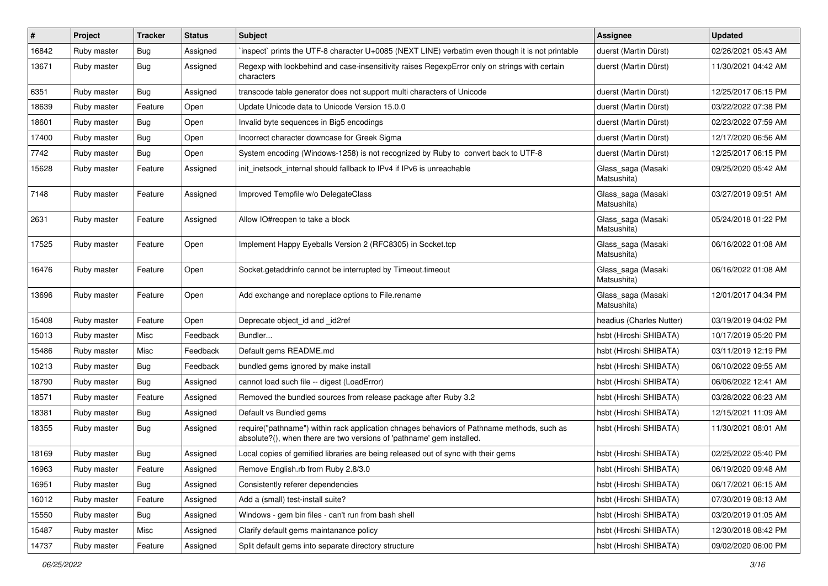| #     | Project     | <b>Tracker</b> | <b>Status</b> | Subject                                                                                                                                                             | Assignee                          | <b>Updated</b>      |
|-------|-------------|----------------|---------------|---------------------------------------------------------------------------------------------------------------------------------------------------------------------|-----------------------------------|---------------------|
| 16842 | Ruby master | <b>Bug</b>     | Assigned      | inspect` prints the UTF-8 character U+0085 (NEXT LINE) verbatim even though it is not printable                                                                     | duerst (Martin Dürst)             | 02/26/2021 05:43 AM |
| 13671 | Ruby master | <b>Bug</b>     | Assigned      | Regexp with lookbehind and case-insensitivity raises RegexpError only on strings with certain<br>characters                                                         | duerst (Martin Dürst)             | 11/30/2021 04:42 AM |
| 6351  | Ruby master | <b>Bug</b>     | Assigned      | transcode table generator does not support multi characters of Unicode                                                                                              | duerst (Martin Dürst)             | 12/25/2017 06:15 PM |
| 18639 | Ruby master | Feature        | Open          | Update Unicode data to Unicode Version 15.0.0                                                                                                                       | duerst (Martin Dürst)             | 03/22/2022 07:38 PM |
| 18601 | Ruby master | Bug            | Open          | Invalid byte sequences in Big5 encodings                                                                                                                            | duerst (Martin Dürst)             | 02/23/2022 07:59 AM |
| 17400 | Ruby master | <b>Bug</b>     | Open          | Incorrect character downcase for Greek Sigma                                                                                                                        | duerst (Martin Dürst)             | 12/17/2020 06:56 AM |
| 7742  | Ruby master | <b>Bug</b>     | Open          | System encoding (Windows-1258) is not recognized by Ruby to convert back to UTF-8                                                                                   | duerst (Martin Dürst)             | 12/25/2017 06:15 PM |
| 15628 | Ruby master | Feature        | Assigned      | init_inetsock_internal should fallback to IPv4 if IPv6 is unreachable                                                                                               | Glass_saga (Masaki<br>Matsushita) | 09/25/2020 05:42 AM |
| 7148  | Ruby master | Feature        | Assigned      | Improved Tempfile w/o DelegateClass                                                                                                                                 | Glass_saga (Masaki<br>Matsushita) | 03/27/2019 09:51 AM |
| 2631  | Ruby master | Feature        | Assigned      | Allow IO#reopen to take a block                                                                                                                                     | Glass_saga (Masaki<br>Matsushita) | 05/24/2018 01:22 PM |
| 17525 | Ruby master | Feature        | Open          | Implement Happy Eyeballs Version 2 (RFC8305) in Socket.tcp                                                                                                          | Glass_saga (Masaki<br>Matsushita) | 06/16/2022 01:08 AM |
| 16476 | Ruby master | Feature        | Open          | Socket.getaddrinfo cannot be interrupted by Timeout.timeout                                                                                                         | Glass_saga (Masaki<br>Matsushita) | 06/16/2022 01:08 AM |
| 13696 | Ruby master | Feature        | Open          | Add exchange and noreplace options to File.rename                                                                                                                   | Glass_saga (Masaki<br>Matsushita) | 12/01/2017 04:34 PM |
| 15408 | Ruby master | Feature        | Open          | Deprecate object id and id2ref                                                                                                                                      | headius (Charles Nutter)          | 03/19/2019 04:02 PM |
| 16013 | Ruby master | Misc           | Feedback      | Bundler                                                                                                                                                             | hsbt (Hiroshi SHIBATA)            | 10/17/2019 05:20 PM |
| 15486 | Ruby master | Misc           | Feedback      | Default gems README.md                                                                                                                                              | hsbt (Hiroshi SHIBATA)            | 03/11/2019 12:19 PM |
| 10213 | Ruby master | <b>Bug</b>     | Feedback      | bundled gems ignored by make install                                                                                                                                | hsbt (Hiroshi SHIBATA)            | 06/10/2022 09:55 AM |
| 18790 | Ruby master | <b>Bug</b>     | Assigned      | cannot load such file -- digest (LoadError)                                                                                                                         | hsbt (Hiroshi SHIBATA)            | 06/06/2022 12:41 AM |
| 18571 | Ruby master | Feature        | Assigned      | Removed the bundled sources from release package after Ruby 3.2                                                                                                     | hsbt (Hiroshi SHIBATA)            | 03/28/2022 06:23 AM |
| 18381 | Ruby master | Bug            | Assigned      | Default vs Bundled gems                                                                                                                                             | hsbt (Hiroshi SHIBATA)            | 12/15/2021 11:09 AM |
| 18355 | Ruby master | Bug            | Assigned      | require("pathname") within rack application chnages behaviors of Pathname methods, such as<br>absolute?(), when there are two versions of 'pathname' gem installed. | hsbt (Hiroshi SHIBATA)            | 11/30/2021 08:01 AM |
| 18169 | Ruby master | Bug            | Assigned      | Local copies of gemified libraries are being released out of sync with their gems                                                                                   | hsbt (Hiroshi SHIBATA)            | 02/25/2022 05:40 PM |
| 16963 | Ruby master | Feature        | Assigned      | Remove English.rb from Ruby 2.8/3.0                                                                                                                                 | hsbt (Hiroshi SHIBATA)            | 06/19/2020 09:48 AM |
| 16951 | Ruby master | <b>Bug</b>     | Assigned      | Consistently referer dependencies                                                                                                                                   | hsbt (Hiroshi SHIBATA)            | 06/17/2021 06:15 AM |
| 16012 | Ruby master | Feature        | Assigned      | Add a (small) test-install suite?                                                                                                                                   | hsbt (Hiroshi SHIBATA)            | 07/30/2019 08:13 AM |
| 15550 | Ruby master | <b>Bug</b>     | Assigned      | Windows - gem bin files - can't run from bash shell                                                                                                                 | hsbt (Hiroshi SHIBATA)            | 03/20/2019 01:05 AM |
| 15487 | Ruby master | Misc           | Assigned      | Clarify default gems maintanance policy                                                                                                                             | hsbt (Hiroshi SHIBATA)            | 12/30/2018 08:42 PM |
| 14737 | Ruby master | Feature        | Assigned      | Split default gems into separate directory structure                                                                                                                | hsbt (Hiroshi SHIBATA)            | 09/02/2020 06:00 PM |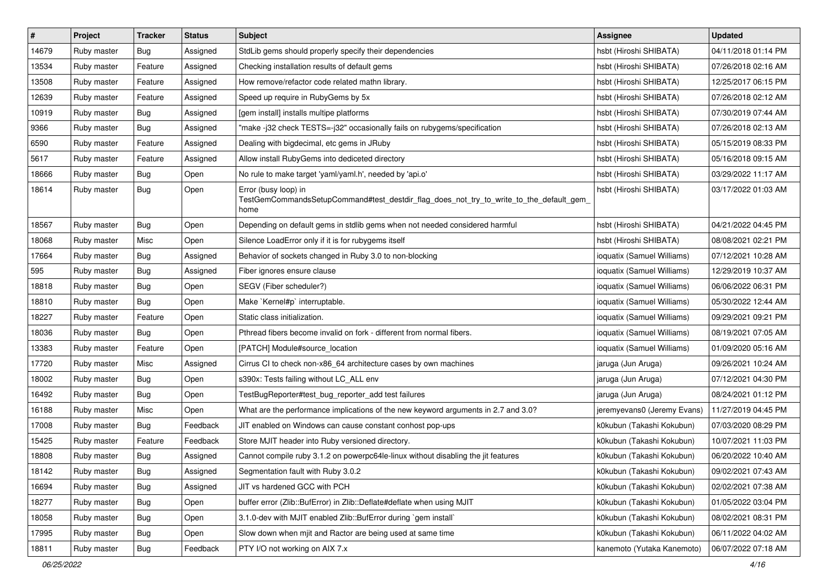| $\pmb{\#}$ | Project     | <b>Tracker</b> | <b>Status</b> | Subject                                                                                                                 | <b>Assignee</b>             | <b>Updated</b>      |
|------------|-------------|----------------|---------------|-------------------------------------------------------------------------------------------------------------------------|-----------------------------|---------------------|
| 14679      | Ruby master | <b>Bug</b>     | Assigned      | StdLib gems should properly specify their dependencies                                                                  | hsbt (Hiroshi SHIBATA)      | 04/11/2018 01:14 PM |
| 13534      | Ruby master | Feature        | Assigned      | Checking installation results of default gems                                                                           | hsbt (Hiroshi SHIBATA)      | 07/26/2018 02:16 AM |
| 13508      | Ruby master | Feature        | Assigned      | How remove/refactor code related mathn library.                                                                         | hsbt (Hiroshi SHIBATA)      | 12/25/2017 06:15 PM |
| 12639      | Ruby master | Feature        | Assigned      | Speed up require in RubyGems by 5x                                                                                      | hsbt (Hiroshi SHIBATA)      | 07/26/2018 02:12 AM |
| 10919      | Ruby master | Bug            | Assigned      | [gem install] installs multipe platforms                                                                                | hsbt (Hiroshi SHIBATA)      | 07/30/2019 07:44 AM |
| 9366       | Ruby master | <b>Bug</b>     | Assigned      | 'make -j32 check TESTS=-j32" occasionally fails on rubygems/specification                                               | hsbt (Hiroshi SHIBATA)      | 07/26/2018 02:13 AM |
| 6590       | Ruby master | Feature        | Assigned      | Dealing with bigdecimal, etc gems in JRuby                                                                              | hsbt (Hiroshi SHIBATA)      | 05/15/2019 08:33 PM |
| 5617       | Ruby master | Feature        | Assigned      | Allow install RubyGems into dediceted directory                                                                         | hsbt (Hiroshi SHIBATA)      | 05/16/2018 09:15 AM |
| 18666      | Ruby master | Bug            | Open          | No rule to make target 'yaml/yaml.h', needed by 'api.o'                                                                 | hsbt (Hiroshi SHIBATA)      | 03/29/2022 11:17 AM |
| 18614      | Ruby master | Bug            | Open          | Error (busy loop) in<br>TestGemCommandsSetupCommand#test_destdir_flag_does_not_try_to_write_to_the_default_gem_<br>home | hsbt (Hiroshi SHIBATA)      | 03/17/2022 01:03 AM |
| 18567      | Ruby master | Bug            | Open          | Depending on default gems in stdlib gems when not needed considered harmful                                             | hsbt (Hiroshi SHIBATA)      | 04/21/2022 04:45 PM |
| 18068      | Ruby master | Misc           | Open          | Silence LoadError only if it is for rubygems itself                                                                     | hsbt (Hiroshi SHIBATA)      | 08/08/2021 02:21 PM |
| 17664      | Ruby master | <b>Bug</b>     | Assigned      | Behavior of sockets changed in Ruby 3.0 to non-blocking                                                                 | ioquatix (Samuel Williams)  | 07/12/2021 10:28 AM |
| 595        | Ruby master | Bug            | Assigned      | Fiber ignores ensure clause                                                                                             | ioquatix (Samuel Williams)  | 12/29/2019 10:37 AM |
| 18818      | Ruby master | <b>Bug</b>     | Open          | SEGV (Fiber scheduler?)                                                                                                 | ioquatix (Samuel Williams)  | 06/06/2022 06:31 PM |
| 18810      | Ruby master | Bug            | Open          | Make `Kernel#p` interruptable.                                                                                          | ioquatix (Samuel Williams)  | 05/30/2022 12:44 AM |
| 18227      | Ruby master | Feature        | Open          | Static class initialization.                                                                                            | ioquatix (Samuel Williams)  | 09/29/2021 09:21 PM |
| 18036      | Ruby master | Bug            | Open          | Pthread fibers become invalid on fork - different from normal fibers.                                                   | ioquatix (Samuel Williams)  | 08/19/2021 07:05 AM |
| 13383      | Ruby master | Feature        | Open          | [PATCH] Module#source_location                                                                                          | ioquatix (Samuel Williams)  | 01/09/2020 05:16 AM |
| 17720      | Ruby master | Misc           | Assigned      | Cirrus CI to check non-x86_64 architecture cases by own machines                                                        | jaruga (Jun Aruga)          | 09/26/2021 10:24 AM |
| 18002      | Ruby master | Bug            | Open          | s390x: Tests failing without LC_ALL env                                                                                 | jaruga (Jun Aruga)          | 07/12/2021 04:30 PM |
| 16492      | Ruby master | <b>Bug</b>     | Open          | TestBugReporter#test_bug_reporter_add test failures                                                                     | jaruga (Jun Aruga)          | 08/24/2021 01:12 PM |
| 16188      | Ruby master | Misc           | Open          | What are the performance implications of the new keyword arguments in 2.7 and 3.0?                                      | jeremyevans0 (Jeremy Evans) | 11/27/2019 04:45 PM |
| 17008      | Ruby master | Bug            | Feedback      | JIT enabled on Windows can cause constant conhost pop-ups                                                               | k0kubun (Takashi Kokubun)   | 07/03/2020 08:29 PM |
| 15425      | Ruby master | Feature        | Feedback      | Store MJIT header into Ruby versioned directory.                                                                        | k0kubun (Takashi Kokubun)   | 10/07/2021 11:03 PM |
| 18808      | Ruby master | <b>Bug</b>     | Assigned      | Cannot compile ruby 3.1.2 on powerpc64le-linux without disabling the jit features                                       | k0kubun (Takashi Kokubun)   | 06/20/2022 10:40 AM |
| 18142      | Ruby master | <b>Bug</b>     | Assigned      | Segmentation fault with Ruby 3.0.2                                                                                      | k0kubun (Takashi Kokubun)   | 09/02/2021 07:43 AM |
| 16694      | Ruby master | Bug            | Assigned      | JIT vs hardened GCC with PCH                                                                                            | k0kubun (Takashi Kokubun)   | 02/02/2021 07:38 AM |
| 18277      | Ruby master | <b>Bug</b>     | Open          | buffer error (Zlib::BufError) in Zlib::Deflate#deflate when using MJIT                                                  | k0kubun (Takashi Kokubun)   | 01/05/2022 03:04 PM |
| 18058      | Ruby master | <b>Bug</b>     | Open          | 3.1.0-dev with MJIT enabled Zlib::BufError during `gem install`                                                         | k0kubun (Takashi Kokubun)   | 08/02/2021 08:31 PM |
| 17995      | Ruby master | <b>Bug</b>     | Open          | Slow down when mjit and Ractor are being used at same time                                                              | k0kubun (Takashi Kokubun)   | 06/11/2022 04:02 AM |
| 18811      | Ruby master | <b>Bug</b>     | Feedback      | PTY I/O not working on AIX 7.x                                                                                          | kanemoto (Yutaka Kanemoto)  | 06/07/2022 07:18 AM |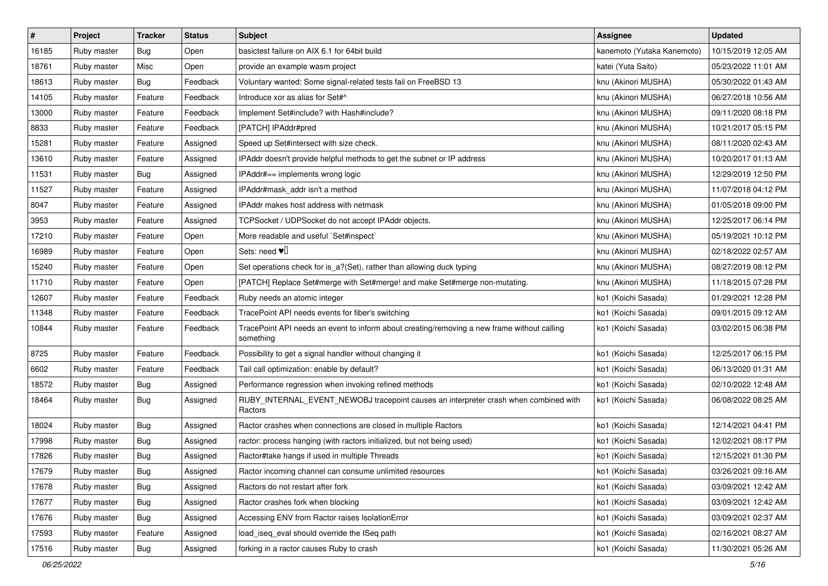| $\pmb{\#}$ | Project     | <b>Tracker</b> | <b>Status</b> | Subject                                                                                                  | <b>Assignee</b>            | <b>Updated</b>      |
|------------|-------------|----------------|---------------|----------------------------------------------------------------------------------------------------------|----------------------------|---------------------|
| 16185      | Ruby master | <b>Bug</b>     | Open          | basictest failure on AIX 6.1 for 64bit build                                                             | kanemoto (Yutaka Kanemoto) | 10/15/2019 12:05 AM |
| 18761      | Ruby master | Misc           | Open          | provide an example wasm project                                                                          | katei (Yuta Saito)         | 05/23/2022 11:01 AM |
| 18613      | Ruby master | Bug            | Feedback      | Voluntary wanted: Some signal-related tests fail on FreeBSD 13                                           | knu (Akinori MUSHA)        | 05/30/2022 01:43 AM |
| 14105      | Ruby master | Feature        | Feedback      | Introduce xor as alias for Set#^                                                                         | knu (Akinori MUSHA)        | 06/27/2018 10:56 AM |
| 13000      | Ruby master | Feature        | Feedback      | Implement Set#include? with Hash#include?                                                                | knu (Akinori MUSHA)        | 09/11/2020 08:18 PM |
| 8833       | Ruby master | Feature        | Feedback      | [PATCH] IPAddr#pred                                                                                      | knu (Akinori MUSHA)        | 10/21/2017 05:15 PM |
| 15281      | Ruby master | Feature        | Assigned      | Speed up Set#intersect with size check.                                                                  | knu (Akinori MUSHA)        | 08/11/2020 02:43 AM |
| 13610      | Ruby master | Feature        | Assigned      | IPAddr doesn't provide helpful methods to get the subnet or IP address                                   | knu (Akinori MUSHA)        | 10/20/2017 01:13 AM |
| 11531      | Ruby master | Bug            | Assigned      | IPAddr#== implements wrong logic                                                                         | knu (Akinori MUSHA)        | 12/29/2019 12:50 PM |
| 11527      | Ruby master | Feature        | Assigned      | IPAddr#mask_addr isn't a method                                                                          | knu (Akinori MUSHA)        | 11/07/2018 04:12 PM |
| 8047       | Ruby master | Feature        | Assigned      | IPAddr makes host address with netmask                                                                   | knu (Akinori MUSHA)        | 01/05/2018 09:00 PM |
| 3953       | Ruby master | Feature        | Assigned      | TCPSocket / UDPSocket do not accept IPAddr objects.                                                      | knu (Akinori MUSHA)        | 12/25/2017 06:14 PM |
| 17210      | Ruby master | Feature        | Open          | More readable and useful `Set#inspect`                                                                   | knu (Akinori MUSHA)        | 05/19/2021 10:12 PM |
| 16989      | Ruby master | Feature        | Open          | Sets: need $\Psi$                                                                                        | knu (Akinori MUSHA)        | 02/18/2022 02:57 AM |
| 15240      | Ruby master | Feature        | Open          | Set operations check for is_a?(Set), rather than allowing duck typing                                    | knu (Akinori MUSHA)        | 08/27/2019 08:12 PM |
| 11710      | Ruby master | Feature        | Open          | [PATCH] Replace Set#merge with Set#merge! and make Set#merge non-mutating.                               | knu (Akinori MUSHA)        | 11/18/2015 07:28 PM |
| 12607      | Ruby master | Feature        | Feedback      | Ruby needs an atomic integer                                                                             | ko1 (Koichi Sasada)        | 01/29/2021 12:28 PM |
| 11348      | Ruby master | Feature        | Feedback      | TracePoint API needs events for fiber's switching                                                        | ko1 (Koichi Sasada)        | 09/01/2015 09:12 AM |
| 10844      | Ruby master | Feature        | Feedback      | TracePoint API needs an event to inform about creating/removing a new frame without calling<br>something | ko1 (Koichi Sasada)        | 03/02/2015 06:38 PM |
| 8725       | Ruby master | Feature        | Feedback      | Possibility to get a signal handler without changing it                                                  | ko1 (Koichi Sasada)        | 12/25/2017 06:15 PM |
| 6602       | Ruby master | Feature        | Feedback      | Tail call optimization: enable by default?                                                               | ko1 (Koichi Sasada)        | 06/13/2020 01:31 AM |
| 18572      | Ruby master | <b>Bug</b>     | Assigned      | Performance regression when invoking refined methods                                                     | ko1 (Koichi Sasada)        | 02/10/2022 12:48 AM |
| 18464      | Ruby master | Bug            | Assigned      | RUBY_INTERNAL_EVENT_NEWOBJ tracepoint causes an interpreter crash when combined with<br>Ractors          | ko1 (Koichi Sasada)        | 06/08/2022 08:25 AM |
| 18024      | Ruby master | <b>Bug</b>     | Assigned      | Ractor crashes when connections are closed in multiple Ractors                                           | ko1 (Koichi Sasada)        | 12/14/2021 04:41 PM |
| 17998      | Ruby master | <b>Bug</b>     | Assigned      | ractor: process hanging (with ractors initialized, but not being used)                                   | ko1 (Koichi Sasada)        | 12/02/2021 08:17 PM |
| 17826      | Ruby master | <b>Bug</b>     | Assigned      | Ractor#take hangs if used in multiple Threads                                                            | ko1 (Koichi Sasada)        | 12/15/2021 01:30 PM |
| 17679      | Ruby master | <b>Bug</b>     | Assigned      | Ractor incoming channel can consume unlimited resources                                                  | ko1 (Koichi Sasada)        | 03/26/2021 09:16 AM |
| 17678      | Ruby master | Bug            | Assigned      | Ractors do not restart after fork                                                                        | ko1 (Koichi Sasada)        | 03/09/2021 12:42 AM |
| 17677      | Ruby master | <b>Bug</b>     | Assigned      | Ractor crashes fork when blocking                                                                        | ko1 (Koichi Sasada)        | 03/09/2021 12:42 AM |
| 17676      | Ruby master | Bug            | Assigned      | Accessing ENV from Ractor raises IsolationError                                                          | ko1 (Koichi Sasada)        | 03/09/2021 02:37 AM |
| 17593      | Ruby master | Feature        | Assigned      | load_iseq_eval should override the ISeq path                                                             | ko1 (Koichi Sasada)        | 02/16/2021 08:27 AM |
| 17516      | Ruby master | <b>Bug</b>     | Assigned      | forking in a ractor causes Ruby to crash                                                                 | ko1 (Koichi Sasada)        | 11/30/2021 05:26 AM |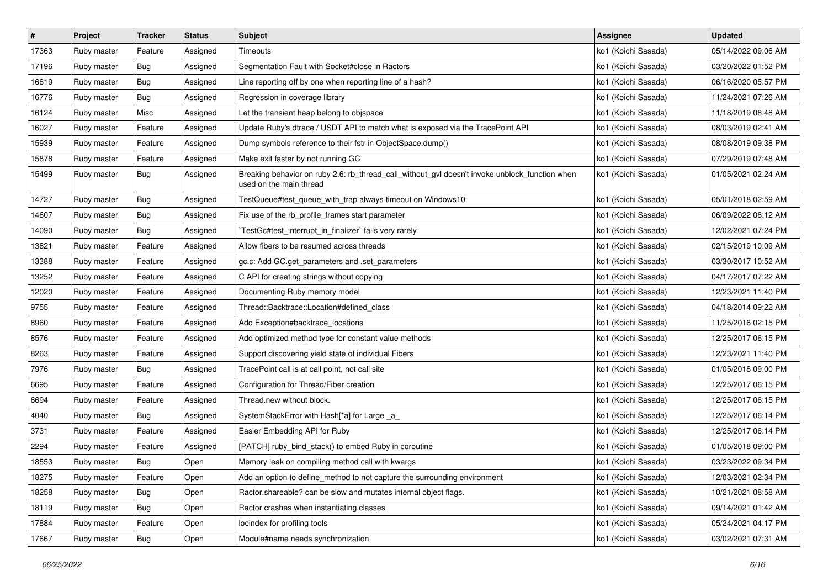| $\sharp$ | Project     | <b>Tracker</b> | <b>Status</b> | <b>Subject</b>                                                                                                            | <b>Assignee</b>     | <b>Updated</b>      |
|----------|-------------|----------------|---------------|---------------------------------------------------------------------------------------------------------------------------|---------------------|---------------------|
| 17363    | Ruby master | Feature        | Assigned      | Timeouts                                                                                                                  | ko1 (Koichi Sasada) | 05/14/2022 09:06 AM |
| 17196    | Ruby master | Bug            | Assigned      | Segmentation Fault with Socket#close in Ractors                                                                           | ko1 (Koichi Sasada) | 03/20/2022 01:52 PM |
| 16819    | Ruby master | Bug            | Assigned      | Line reporting off by one when reporting line of a hash?                                                                  | ko1 (Koichi Sasada) | 06/16/2020 05:57 PM |
| 16776    | Ruby master | <b>Bug</b>     | Assigned      | Regression in coverage library                                                                                            | ko1 (Koichi Sasada) | 11/24/2021 07:26 AM |
| 16124    | Ruby master | Misc           | Assigned      | Let the transient heap belong to objspace                                                                                 | ko1 (Koichi Sasada) | 11/18/2019 08:48 AM |
| 16027    | Ruby master | Feature        | Assigned      | Update Ruby's dtrace / USDT API to match what is exposed via the TracePoint API                                           | ko1 (Koichi Sasada) | 08/03/2019 02:41 AM |
| 15939    | Ruby master | Feature        | Assigned      | Dump symbols reference to their fstr in ObjectSpace.dump()                                                                | ko1 (Koichi Sasada) | 08/08/2019 09:38 PM |
| 15878    | Ruby master | Feature        | Assigned      | Make exit faster by not running GC                                                                                        | ko1 (Koichi Sasada) | 07/29/2019 07:48 AM |
| 15499    | Ruby master | <b>Bug</b>     | Assigned      | Breaking behavior on ruby 2.6: rb_thread_call_without_gvl doesn't invoke unblock_function when<br>used on the main thread | ko1 (Koichi Sasada) | 01/05/2021 02:24 AM |
| 14727    | Ruby master | Bug            | Assigned      | TestQueue#test_queue_with_trap always timeout on Windows10                                                                | ko1 (Koichi Sasada) | 05/01/2018 02:59 AM |
| 14607    | Ruby master | <b>Bug</b>     | Assigned      | Fix use of the rb_profile_frames start parameter                                                                          | ko1 (Koichi Sasada) | 06/09/2022 06:12 AM |
| 14090    | Ruby master | <b>Bug</b>     | Assigned      | TestGc#test_interrupt_in_finalizer`fails very rarely                                                                      | ko1 (Koichi Sasada) | 12/02/2021 07:24 PM |
| 13821    | Ruby master | Feature        | Assigned      | Allow fibers to be resumed across threads                                                                                 | ko1 (Koichi Sasada) | 02/15/2019 10:09 AM |
| 13388    | Ruby master | Feature        | Assigned      | gc.c: Add GC.get_parameters and .set_parameters                                                                           | ko1 (Koichi Sasada) | 03/30/2017 10:52 AM |
| 13252    | Ruby master | Feature        | Assigned      | C API for creating strings without copying                                                                                | ko1 (Koichi Sasada) | 04/17/2017 07:22 AM |
| 12020    | Ruby master | Feature        | Assigned      | Documenting Ruby memory model                                                                                             | ko1 (Koichi Sasada) | 12/23/2021 11:40 PM |
| 9755     | Ruby master | Feature        | Assigned      | Thread::Backtrace::Location#defined_class                                                                                 | ko1 (Koichi Sasada) | 04/18/2014 09:22 AM |
| 8960     | Ruby master | Feature        | Assigned      | Add Exception#backtrace_locations                                                                                         | ko1 (Koichi Sasada) | 11/25/2016 02:15 PM |
| 8576     | Ruby master | Feature        | Assigned      | Add optimized method type for constant value methods                                                                      | ko1 (Koichi Sasada) | 12/25/2017 06:15 PM |
| 8263     | Ruby master | Feature        | Assigned      | Support discovering yield state of individual Fibers                                                                      | ko1 (Koichi Sasada) | 12/23/2021 11:40 PM |
| 7976     | Ruby master | <b>Bug</b>     | Assigned      | TracePoint call is at call point, not call site                                                                           | ko1 (Koichi Sasada) | 01/05/2018 09:00 PM |
| 6695     | Ruby master | Feature        | Assigned      | Configuration for Thread/Fiber creation                                                                                   | ko1 (Koichi Sasada) | 12/25/2017 06:15 PM |
| 6694     | Ruby master | Feature        | Assigned      | Thread.new without block.                                                                                                 | ko1 (Koichi Sasada) | 12/25/2017 06:15 PM |
| 4040     | Ruby master | <b>Bug</b>     | Assigned      | SystemStackError with Hash[*a] for Large _a_                                                                              | ko1 (Koichi Sasada) | 12/25/2017 06:14 PM |
| 3731     | Ruby master | Feature        | Assigned      | Easier Embedding API for Ruby                                                                                             | ko1 (Koichi Sasada) | 12/25/2017 06:14 PM |
| 2294     | Ruby master | Feature        | Assigned      | [PATCH] ruby_bind_stack() to embed Ruby in coroutine                                                                      | ko1 (Koichi Sasada) | 01/05/2018 09:00 PM |
| 18553    | Ruby master | <b>Bug</b>     | Open          | Memory leak on compiling method call with kwargs                                                                          | ko1 (Koichi Sasada) | 03/23/2022 09:34 PM |
| 18275    | Ruby master | Feature        | Open          | Add an option to define_method to not capture the surrounding environment                                                 | ko1 (Koichi Sasada) | 12/03/2021 02:34 PM |
| 18258    | Ruby master | <b>Bug</b>     | Open          | Ractor shareable? can be slow and mutates internal object flags.                                                          | ko1 (Koichi Sasada) | 10/21/2021 08:58 AM |
| 18119    | Ruby master | <b>Bug</b>     | Open          | Ractor crashes when instantiating classes                                                                                 | ko1 (Koichi Sasada) | 09/14/2021 01:42 AM |
| 17884    | Ruby master | Feature        | Open          | locindex for profiling tools                                                                                              | ko1 (Koichi Sasada) | 05/24/2021 04:17 PM |
| 17667    | Ruby master | <b>Bug</b>     | Open          | Module#name needs synchronization                                                                                         | ko1 (Koichi Sasada) | 03/02/2021 07:31 AM |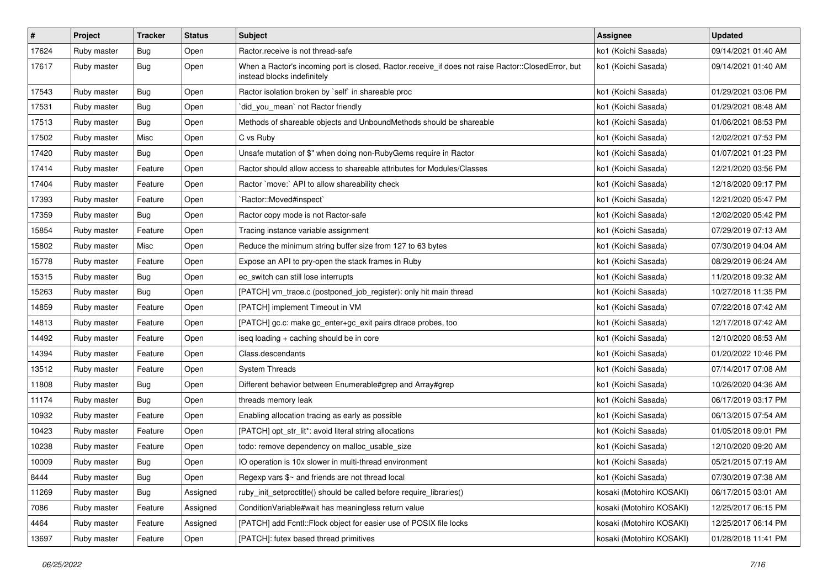| $\sharp$ | Project     | <b>Tracker</b> | <b>Status</b> | Subject                                                                                                                           | <b>Assignee</b>          | <b>Updated</b>      |
|----------|-------------|----------------|---------------|-----------------------------------------------------------------------------------------------------------------------------------|--------------------------|---------------------|
| 17624    | Ruby master | <b>Bug</b>     | Open          | Ractor.receive is not thread-safe                                                                                                 | ko1 (Koichi Sasada)      | 09/14/2021 01:40 AM |
| 17617    | Ruby master | Bug            | Open          | When a Ractor's incoming port is closed, Ractor.receive_if does not raise Ractor::ClosedError, but<br>instead blocks indefinitely | ko1 (Koichi Sasada)      | 09/14/2021 01:40 AM |
| 17543    | Ruby master | Bug            | Open          | Ractor isolation broken by `self` in shareable proc                                                                               | ko1 (Koichi Sasada)      | 01/29/2021 03:06 PM |
| 17531    | Ruby master | Bug            | Open          | did_you_mean' not Ractor friendly                                                                                                 | ko1 (Koichi Sasada)      | 01/29/2021 08:48 AM |
| 17513    | Ruby master | Bug            | Open          | Methods of shareable objects and UnboundMethods should be shareable                                                               | ko1 (Koichi Sasada)      | 01/06/2021 08:53 PM |
| 17502    | Ruby master | Misc           | Open          | C vs Ruby                                                                                                                         | ko1 (Koichi Sasada)      | 12/02/2021 07:53 PM |
| 17420    | Ruby master | Bug            | Open          | Unsafe mutation of \$" when doing non-RubyGems require in Ractor                                                                  | ko1 (Koichi Sasada)      | 01/07/2021 01:23 PM |
| 17414    | Ruby master | Feature        | Open          | Ractor should allow access to shareable attributes for Modules/Classes                                                            | ko1 (Koichi Sasada)      | 12/21/2020 03:56 PM |
| 17404    | Ruby master | Feature        | Open          | Ractor `move:` API to allow shareability check                                                                                    | ko1 (Koichi Sasada)      | 12/18/2020 09:17 PM |
| 17393    | Ruby master | Feature        | Open          | `Ractor::Moved#inspect`                                                                                                           | ko1 (Koichi Sasada)      | 12/21/2020 05:47 PM |
| 17359    | Ruby master | <b>Bug</b>     | Open          | Ractor copy mode is not Ractor-safe                                                                                               | ko1 (Koichi Sasada)      | 12/02/2020 05:42 PM |
| 15854    | Ruby master | Feature        | Open          | Tracing instance variable assignment                                                                                              | ko1 (Koichi Sasada)      | 07/29/2019 07:13 AM |
| 15802    | Ruby master | Misc           | Open          | Reduce the minimum string buffer size from 127 to 63 bytes                                                                        | ko1 (Koichi Sasada)      | 07/30/2019 04:04 AM |
| 15778    | Ruby master | Feature        | Open          | Expose an API to pry-open the stack frames in Ruby                                                                                | ko1 (Koichi Sasada)      | 08/29/2019 06:24 AM |
| 15315    | Ruby master | Bug            | Open          | ec_switch can still lose interrupts                                                                                               | ko1 (Koichi Sasada)      | 11/20/2018 09:32 AM |
| 15263    | Ruby master | <b>Bug</b>     | Open          | [PATCH] vm_trace.c (postponed_job_register): only hit main thread                                                                 | ko1 (Koichi Sasada)      | 10/27/2018 11:35 PM |
| 14859    | Ruby master | Feature        | Open          | [PATCH] implement Timeout in VM                                                                                                   | ko1 (Koichi Sasada)      | 07/22/2018 07:42 AM |
| 14813    | Ruby master | Feature        | Open          | [PATCH] gc.c: make gc_enter+gc_exit pairs dtrace probes, too                                                                      | ko1 (Koichi Sasada)      | 12/17/2018 07:42 AM |
| 14492    | Ruby master | Feature        | Open          | iseq loading + caching should be in core                                                                                          | ko1 (Koichi Sasada)      | 12/10/2020 08:53 AM |
| 14394    | Ruby master | Feature        | Open          | Class.descendants                                                                                                                 | ko1 (Koichi Sasada)      | 01/20/2022 10:46 PM |
| 13512    | Ruby master | Feature        | Open          | <b>System Threads</b>                                                                                                             | ko1 (Koichi Sasada)      | 07/14/2017 07:08 AM |
| 11808    | Ruby master | Bug            | Open          | Different behavior between Enumerable#grep and Array#grep                                                                         | ko1 (Koichi Sasada)      | 10/26/2020 04:36 AM |
| 11174    | Ruby master | <b>Bug</b>     | Open          | threads memory leak                                                                                                               | ko1 (Koichi Sasada)      | 06/17/2019 03:17 PM |
| 10932    | Ruby master | Feature        | Open          | Enabling allocation tracing as early as possible                                                                                  | ko1 (Koichi Sasada)      | 06/13/2015 07:54 AM |
| 10423    | Ruby master | Feature        | Open          | [PATCH] opt_str_lit*: avoid literal string allocations                                                                            | ko1 (Koichi Sasada)      | 01/05/2018 09:01 PM |
| 10238    | Ruby master | Feature        | Open          | todo: remove dependency on malloc usable size                                                                                     | ko1 (Koichi Sasada)      | 12/10/2020 09:20 AM |
| 10009    | Ruby master | Bug            | Open          | IO operation is 10x slower in multi-thread environment                                                                            | ko1 (Koichi Sasada)      | 05/21/2015 07:19 AM |
| 8444     | Ruby master | <b>Bug</b>     | Open          | Regexp vars \$~ and friends are not thread local                                                                                  | ko1 (Koichi Sasada)      | 07/30/2019 07:38 AM |
| 11269    | Ruby master | Bug            | Assigned      | ruby_init_setproctitle() should be called before require_libraries()                                                              | kosaki (Motohiro KOSAKI) | 06/17/2015 03:01 AM |
| 7086     | Ruby master | Feature        | Assigned      | ConditionVariable#wait has meaningless return value                                                                               | kosaki (Motohiro KOSAKI) | 12/25/2017 06:15 PM |
| 4464     | Ruby master | Feature        | Assigned      | [PATCH] add Fcntl::Flock object for easier use of POSIX file locks                                                                | kosaki (Motohiro KOSAKI) | 12/25/2017 06:14 PM |
| 13697    | Ruby master | Feature        | Open          | [PATCH]: futex based thread primitives                                                                                            | kosaki (Motohiro KOSAKI) | 01/28/2018 11:41 PM |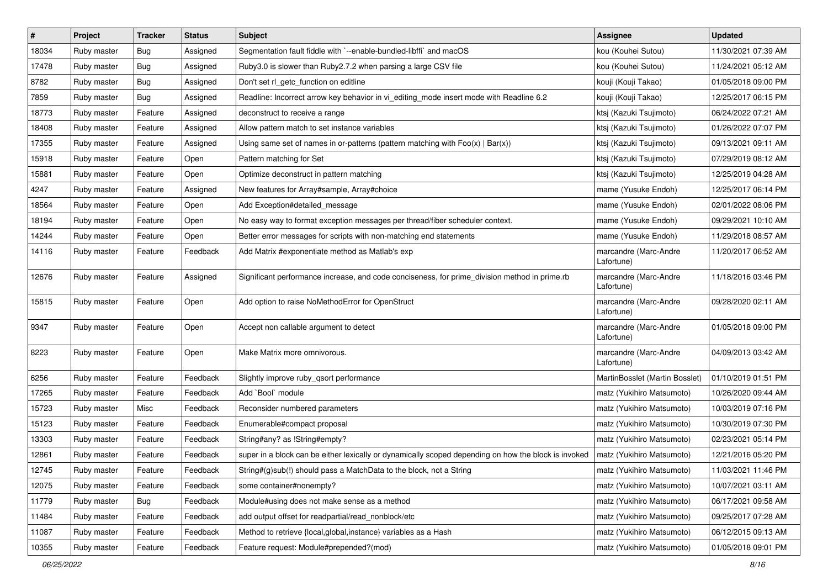| $\vert$ # | Project     | <b>Tracker</b> | <b>Status</b> | <b>Subject</b>                                                                                       | <b>Assignee</b>                     | <b>Updated</b>      |
|-----------|-------------|----------------|---------------|------------------------------------------------------------------------------------------------------|-------------------------------------|---------------------|
| 18034     | Ruby master | <b>Bug</b>     | Assigned      | Segmentation fault fiddle with `--enable-bundled-libffi` and macOS                                   | kou (Kouhei Sutou)                  | 11/30/2021 07:39 AM |
| 17478     | Ruby master | Bug            | Assigned      | Ruby3.0 is slower than Ruby2.7.2 when parsing a large CSV file                                       | kou (Kouhei Sutou)                  | 11/24/2021 05:12 AM |
| 8782      | Ruby master | Bug            | Assigned      | Don't set rl_getc_function on editline                                                               | kouji (Kouji Takao)                 | 01/05/2018 09:00 PM |
| 7859      | Ruby master | <b>Bug</b>     | Assigned      | Readline: Incorrect arrow key behavior in vi_editing_mode insert mode with Readline 6.2              | kouji (Kouji Takao)                 | 12/25/2017 06:15 PM |
| 18773     | Ruby master | Feature        | Assigned      | deconstruct to receive a range                                                                       | ktsj (Kazuki Tsujimoto)             | 06/24/2022 07:21 AM |
| 18408     | Ruby master | Feature        | Assigned      | Allow pattern match to set instance variables                                                        | ktsj (Kazuki Tsujimoto)             | 01/26/2022 07:07 PM |
| 17355     | Ruby master | Feature        | Assigned      | Using same set of names in or-patterns (pattern matching with $Foo(x)   Bar(x)$ )                    | ktsj (Kazuki Tsujimoto)             | 09/13/2021 09:11 AM |
| 15918     | Ruby master | Feature        | Open          | Pattern matching for Set                                                                             | ktsj (Kazuki Tsujimoto)             | 07/29/2019 08:12 AM |
| 15881     | Ruby master | Feature        | Open          | Optimize deconstruct in pattern matching                                                             | ktsj (Kazuki Tsujimoto)             | 12/25/2019 04:28 AM |
| 4247      | Ruby master | Feature        | Assigned      | New features for Array#sample, Array#choice                                                          | mame (Yusuke Endoh)                 | 12/25/2017 06:14 PM |
| 18564     | Ruby master | Feature        | Open          | Add Exception#detailed_message                                                                       | mame (Yusuke Endoh)                 | 02/01/2022 08:06 PM |
| 18194     | Ruby master | Feature        | Open          | No easy way to format exception messages per thread/fiber scheduler context.                         | mame (Yusuke Endoh)                 | 09/29/2021 10:10 AM |
| 14244     | Ruby master | Feature        | Open          | Better error messages for scripts with non-matching end statements                                   | mame (Yusuke Endoh)                 | 11/29/2018 08:57 AM |
| 14116     | Ruby master | Feature        | Feedback      | Add Matrix #exponentiate method as Matlab's exp                                                      | marcandre (Marc-Andre<br>Lafortune) | 11/20/2017 06:52 AM |
| 12676     | Ruby master | Feature        | Assigned      | Significant performance increase, and code conciseness, for prime_division method in prime.rb        | marcandre (Marc-Andre<br>Lafortune) | 11/18/2016 03:46 PM |
| 15815     | Ruby master | Feature        | Open          | Add option to raise NoMethodError for OpenStruct                                                     | marcandre (Marc-Andre<br>Lafortune) | 09/28/2020 02:11 AM |
| 9347      | Ruby master | Feature        | Open          | Accept non callable argument to detect                                                               | marcandre (Marc-Andre<br>Lafortune) | 01/05/2018 09:00 PM |
| 8223      | Ruby master | Feature        | Open          | Make Matrix more omnivorous.                                                                         | marcandre (Marc-Andre<br>Lafortune) | 04/09/2013 03:42 AM |
| 6256      | Ruby master | Feature        | Feedback      | Slightly improve ruby_qsort performance                                                              | MartinBosslet (Martin Bosslet)      | 01/10/2019 01:51 PM |
| 17265     | Ruby master | Feature        | Feedback      | Add `Bool` module                                                                                    | matz (Yukihiro Matsumoto)           | 10/26/2020 09:44 AM |
| 15723     | Ruby master | Misc           | Feedback      | Reconsider numbered parameters                                                                       | matz (Yukihiro Matsumoto)           | 10/03/2019 07:16 PM |
| 15123     | Ruby master | Feature        | Feedback      | Enumerable#compact proposal                                                                          | matz (Yukihiro Matsumoto)           | 10/30/2019 07:30 PM |
| 13303     | Ruby master | Feature        | Feedback      | String#any? as !String#empty?                                                                        | matz (Yukihiro Matsumoto)           | 02/23/2021 05:14 PM |
| 12861     | Ruby master | Feature        | Feedback      | super in a block can be either lexically or dynamically scoped depending on how the block is invoked | matz (Yukihiro Matsumoto)           | 12/21/2016 05:20 PM |
| 12745     | Ruby master | Feature        | Feedback      | String#(g)sub(!) should pass a MatchData to the block, not a String                                  | matz (Yukihiro Matsumoto)           | 11/03/2021 11:46 PM |
| 12075     | Ruby master | Feature        | Feedback      | some container#nonempty?                                                                             | matz (Yukihiro Matsumoto)           | 10/07/2021 03:11 AM |
| 11779     | Ruby master | Bug            | Feedback      | Module#using does not make sense as a method                                                         | matz (Yukihiro Matsumoto)           | 06/17/2021 09:58 AM |
| 11484     | Ruby master | Feature        | Feedback      | add output offset for readpartial/read_nonblock/etc                                                  | matz (Yukihiro Matsumoto)           | 09/25/2017 07:28 AM |
| 11087     | Ruby master | Feature        | Feedback      | Method to retrieve {local,global,instance} variables as a Hash                                       | matz (Yukihiro Matsumoto)           | 06/12/2015 09:13 AM |
| 10355     | Ruby master | Feature        | Feedback      | Feature request: Module#prepended?(mod)                                                              | matz (Yukihiro Matsumoto)           | 01/05/2018 09:01 PM |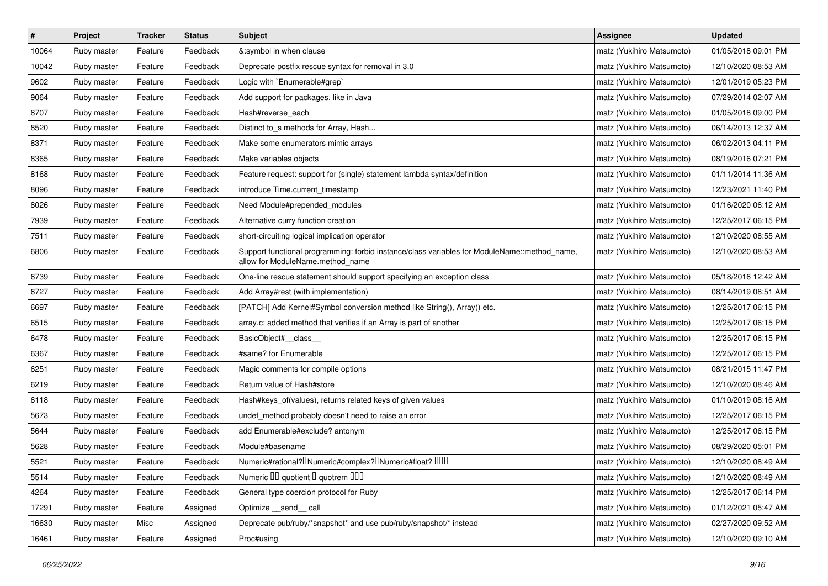| $\sharp$ | Project     | Tracker | <b>Status</b> | <b>Subject</b>                                                                                                                   | Assignee                  | <b>Updated</b>      |
|----------|-------------|---------|---------------|----------------------------------------------------------------------------------------------------------------------------------|---------------------------|---------------------|
| 10064    | Ruby master | Feature | Feedback      | &:symbol in when clause                                                                                                          | matz (Yukihiro Matsumoto) | 01/05/2018 09:01 PM |
| 10042    | Ruby master | Feature | Feedback      | Deprecate postfix rescue syntax for removal in 3.0                                                                               | matz (Yukihiro Matsumoto) | 12/10/2020 08:53 AM |
| 9602     | Ruby master | Feature | Feedback      | Logic with `Enumerable#grep`                                                                                                     | matz (Yukihiro Matsumoto) | 12/01/2019 05:23 PM |
| 9064     | Ruby master | Feature | Feedback      | Add support for packages, like in Java                                                                                           | matz (Yukihiro Matsumoto) | 07/29/2014 02:07 AM |
| 8707     | Ruby master | Feature | Feedback      | Hash#reverse_each                                                                                                                | matz (Yukihiro Matsumoto) | 01/05/2018 09:00 PM |
| 8520     | Ruby master | Feature | Feedback      | Distinct to_s methods for Array, Hash                                                                                            | matz (Yukihiro Matsumoto) | 06/14/2013 12:37 AM |
| 8371     | Ruby master | Feature | Feedback      | Make some enumerators mimic arrays                                                                                               | matz (Yukihiro Matsumoto) | 06/02/2013 04:11 PM |
| 8365     | Ruby master | Feature | Feedback      | Make variables objects                                                                                                           | matz (Yukihiro Matsumoto) | 08/19/2016 07:21 PM |
| 8168     | Ruby master | Feature | Feedback      | Feature request: support for (single) statement lambda syntax/definition                                                         | matz (Yukihiro Matsumoto) | 01/11/2014 11:36 AM |
| 8096     | Ruby master | Feature | Feedback      | introduce Time.current_timestamp                                                                                                 | matz (Yukihiro Matsumoto) | 12/23/2021 11:40 PM |
| 8026     | Ruby master | Feature | Feedback      | Need Module#prepended_modules                                                                                                    | matz (Yukihiro Matsumoto) | 01/16/2020 06:12 AM |
| 7939     | Ruby master | Feature | Feedback      | Alternative curry function creation                                                                                              | matz (Yukihiro Matsumoto) | 12/25/2017 06:15 PM |
| 7511     | Ruby master | Feature | Feedback      | short-circuiting logical implication operator                                                                                    | matz (Yukihiro Matsumoto) | 12/10/2020 08:55 AM |
| 6806     | Ruby master | Feature | Feedback      | Support functional programming: forbid instance/class variables for ModuleName::method_name,<br>allow for ModuleName.method_name | matz (Yukihiro Matsumoto) | 12/10/2020 08:53 AM |
| 6739     | Ruby master | Feature | Feedback      | One-line rescue statement should support specifying an exception class                                                           | matz (Yukihiro Matsumoto) | 05/18/2016 12:42 AM |
| 6727     | Ruby master | Feature | Feedback      | Add Array#rest (with implementation)                                                                                             | matz (Yukihiro Matsumoto) | 08/14/2019 08:51 AM |
| 6697     | Ruby master | Feature | Feedback      | [PATCH] Add Kernel#Symbol conversion method like String(), Array() etc.                                                          | matz (Yukihiro Matsumoto) | 12/25/2017 06:15 PM |
| 6515     | Ruby master | Feature | Feedback      | array.c: added method that verifies if an Array is part of another                                                               | matz (Yukihiro Matsumoto) | 12/25/2017 06:15 PM |
| 6478     | Ruby master | Feature | Feedback      | BasicObject#_class_                                                                                                              | matz (Yukihiro Matsumoto) | 12/25/2017 06:15 PM |
| 6367     | Ruby master | Feature | Feedback      | #same? for Enumerable                                                                                                            | matz (Yukihiro Matsumoto) | 12/25/2017 06:15 PM |
| 6251     | Ruby master | Feature | Feedback      | Magic comments for compile options                                                                                               | matz (Yukihiro Matsumoto) | 08/21/2015 11:47 PM |
| 6219     | Ruby master | Feature | Feedback      | Return value of Hash#store                                                                                                       | matz (Yukihiro Matsumoto) | 12/10/2020 08:46 AM |
| 6118     | Ruby master | Feature | Feedback      | Hash#keys_of(values), returns related keys of given values                                                                       | matz (Yukihiro Matsumoto) | 01/10/2019 08:16 AM |
| 5673     | Ruby master | Feature | Feedback      | undef_method probably doesn't need to raise an error                                                                             | matz (Yukihiro Matsumoto) | 12/25/2017 06:15 PM |
| 5644     | Ruby master | Feature | Feedback      | add Enumerable#exclude? antonym                                                                                                  | matz (Yukihiro Matsumoto) | 12/25/2017 06:15 PM |
| 5628     | Ruby master | Feature | Feedback      | Module#basename                                                                                                                  | matz (Yukihiro Matsumoto) | 08/29/2020 05:01 PM |
| 5521     | Ruby master | Feature | Feedback      | Numeric#rational? <sup>[]</sup> Numeric#complex? <sup>[]</sup> Numeric#float? <sup>[10]</sup>                                    | matz (Yukihiro Matsumoto) | 12/10/2020 08:49 AM |
| 5514     | Ruby master | Feature | Feedback      | Numeric III quotient I quotrem IIII                                                                                              | matz (Yukihiro Matsumoto) | 12/10/2020 08:49 AM |
| 4264     | Ruby master | Feature | Feedback      | General type coercion protocol for Ruby                                                                                          | matz (Yukihiro Matsumoto) | 12/25/2017 06:14 PM |
| 17291    | Ruby master | Feature | Assigned      | Optimize __send__ call                                                                                                           | matz (Yukihiro Matsumoto) | 01/12/2021 05:47 AM |
| 16630    | Ruby master | Misc    | Assigned      | Deprecate pub/ruby/*snapshot* and use pub/ruby/snapshot/* instead                                                                | matz (Yukihiro Matsumoto) | 02/27/2020 09:52 AM |
| 16461    | Ruby master | Feature | Assigned      | Proc#using                                                                                                                       | matz (Yukihiro Matsumoto) | 12/10/2020 09:10 AM |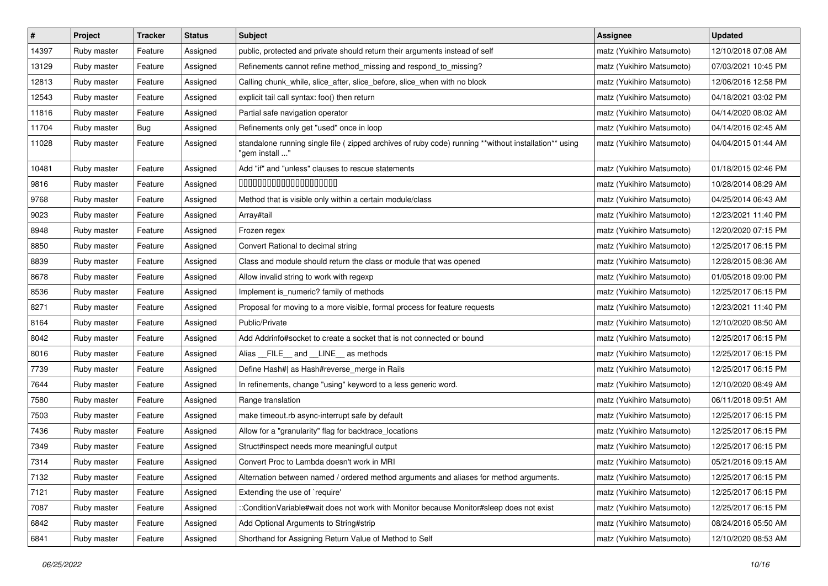| $\pmb{\#}$ | Project     | <b>Tracker</b> | <b>Status</b> | Subject                                                                                                                 | Assignee                  | <b>Updated</b>      |
|------------|-------------|----------------|---------------|-------------------------------------------------------------------------------------------------------------------------|---------------------------|---------------------|
| 14397      | Ruby master | Feature        | Assigned      | public, protected and private should return their arguments instead of self                                             | matz (Yukihiro Matsumoto) | 12/10/2018 07:08 AM |
| 13129      | Ruby master | Feature        | Assigned      | Refinements cannot refine method_missing and respond_to_missing?                                                        | matz (Yukihiro Matsumoto) | 07/03/2021 10:45 PM |
| 12813      | Ruby master | Feature        | Assigned      | Calling chunk_while, slice_after, slice_before, slice_when with no block                                                | matz (Yukihiro Matsumoto) | 12/06/2016 12:58 PM |
| 12543      | Ruby master | Feature        | Assigned      | explicit tail call syntax: foo() then return                                                                            | matz (Yukihiro Matsumoto) | 04/18/2021 03:02 PM |
| 11816      | Ruby master | Feature        | Assigned      | Partial safe navigation operator                                                                                        | matz (Yukihiro Matsumoto) | 04/14/2020 08:02 AM |
| 11704      | Ruby master | Bug            | Assigned      | Refinements only get "used" once in loop                                                                                | matz (Yukihiro Matsumoto) | 04/14/2016 02:45 AM |
| 11028      | Ruby master | Feature        | Assigned      | standalone running single file ( zipped archives of ruby code) running **without installation** using<br>"gem install " | matz (Yukihiro Matsumoto) | 04/04/2015 01:44 AM |
| 10481      | Ruby master | Feature        | Assigned      | Add "if" and "unless" clauses to rescue statements                                                                      | matz (Yukihiro Matsumoto) | 01/18/2015 02:46 PM |
| 9816       | Ruby master | Feature        | Assigned      | 00000000000000000000                                                                                                    | matz (Yukihiro Matsumoto) | 10/28/2014 08:29 AM |
| 9768       | Ruby master | Feature        | Assigned      | Method that is visible only within a certain module/class                                                               | matz (Yukihiro Matsumoto) | 04/25/2014 06:43 AM |
| 9023       | Ruby master | Feature        | Assigned      | Array#tail                                                                                                              | matz (Yukihiro Matsumoto) | 12/23/2021 11:40 PM |
| 8948       | Ruby master | Feature        | Assigned      | Frozen regex                                                                                                            | matz (Yukihiro Matsumoto) | 12/20/2020 07:15 PM |
| 8850       | Ruby master | Feature        | Assigned      | Convert Rational to decimal string                                                                                      | matz (Yukihiro Matsumoto) | 12/25/2017 06:15 PM |
| 8839       | Ruby master | Feature        | Assigned      | Class and module should return the class or module that was opened                                                      | matz (Yukihiro Matsumoto) | 12/28/2015 08:36 AM |
| 8678       | Ruby master | Feature        | Assigned      | Allow invalid string to work with regexp                                                                                | matz (Yukihiro Matsumoto) | 01/05/2018 09:00 PM |
| 8536       | Ruby master | Feature        | Assigned      | Implement is_numeric? family of methods                                                                                 | matz (Yukihiro Matsumoto) | 12/25/2017 06:15 PM |
| 8271       | Ruby master | Feature        | Assigned      | Proposal for moving to a more visible, formal process for feature requests                                              | matz (Yukihiro Matsumoto) | 12/23/2021 11:40 PM |
| 8164       | Ruby master | Feature        | Assigned      | Public/Private                                                                                                          | matz (Yukihiro Matsumoto) | 12/10/2020 08:50 AM |
| 8042       | Ruby master | Feature        | Assigned      | Add Addrinfo#socket to create a socket that is not connected or bound                                                   | matz (Yukihiro Matsumoto) | 12/25/2017 06:15 PM |
| 8016       | Ruby master | Feature        | Assigned      | Alias FILE and LINE as methods                                                                                          | matz (Yukihiro Matsumoto) | 12/25/2017 06:15 PM |
| 7739       | Ruby master | Feature        | Assigned      | Define Hash#  as Hash#reverse_merge in Rails                                                                            | matz (Yukihiro Matsumoto) | 12/25/2017 06:15 PM |
| 7644       | Ruby master | Feature        | Assigned      | In refinements, change "using" keyword to a less generic word.                                                          | matz (Yukihiro Matsumoto) | 12/10/2020 08:49 AM |
| 7580       | Ruby master | Feature        | Assigned      | Range translation                                                                                                       | matz (Yukihiro Matsumoto) | 06/11/2018 09:51 AM |
| 7503       | Ruby master | Feature        | Assigned      | make timeout.rb async-interrupt safe by default                                                                         | matz (Yukihiro Matsumoto) | 12/25/2017 06:15 PM |
| 7436       | Ruby master | Feature        | Assigned      | Allow for a "granularity" flag for backtrace_locations                                                                  | matz (Yukihiro Matsumoto) | 12/25/2017 06:15 PM |
| 7349       | Ruby master | Feature        | Assigned      | Struct#inspect needs more meaningful output                                                                             | matz (Yukihiro Matsumoto) | 12/25/2017 06:15 PM |
| 7314       | Ruby master | Feature        | Assigned      | Convert Proc to Lambda doesn't work in MRI                                                                              | matz (Yukihiro Matsumoto) | 05/21/2016 09:15 AM |
| 7132       | Ruby master | Feature        | Assigned      | Alternation between named / ordered method arguments and aliases for method arguments.                                  | matz (Yukihiro Matsumoto) | 12/25/2017 06:15 PM |
| 7121       | Ruby master | Feature        | Assigned      | Extending the use of `require'                                                                                          | matz (Yukihiro Matsumoto) | 12/25/2017 06:15 PM |
| 7087       | Ruby master | Feature        | Assigned      | ::ConditionVariable#wait does not work with Monitor because Monitor#sleep does not exist                                | matz (Yukihiro Matsumoto) | 12/25/2017 06:15 PM |
| 6842       | Ruby master | Feature        | Assigned      | Add Optional Arguments to String#strip                                                                                  | matz (Yukihiro Matsumoto) | 08/24/2016 05:50 AM |
| 6841       | Ruby master | Feature        | Assigned      | Shorthand for Assigning Return Value of Method to Self                                                                  | matz (Yukihiro Matsumoto) | 12/10/2020 08:53 AM |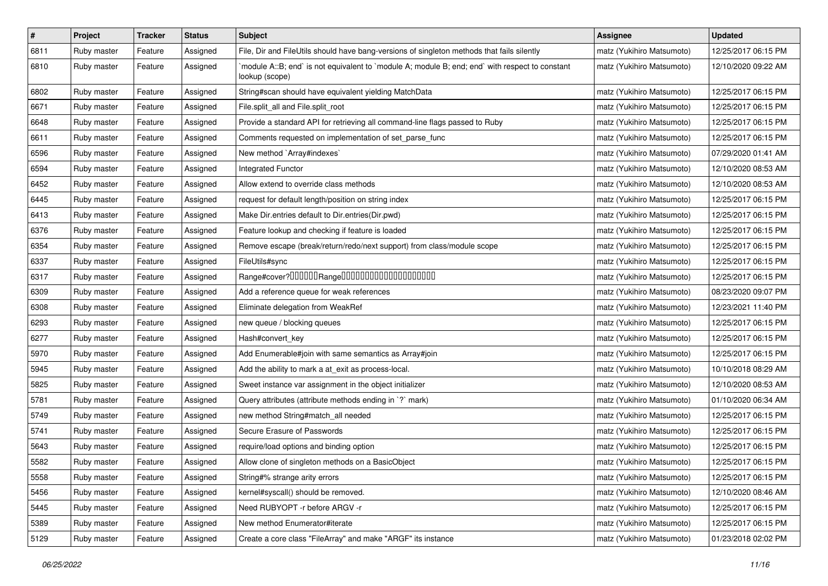| #    | Project     | <b>Tracker</b> | <b>Status</b> | <b>Subject</b>                                                                                                   | <b>Assignee</b>           | <b>Updated</b>      |
|------|-------------|----------------|---------------|------------------------------------------------------------------------------------------------------------------|---------------------------|---------------------|
| 6811 | Ruby master | Feature        | Assigned      | File, Dir and FileUtils should have bang-versions of singleton methods that fails silently                       | matz (Yukihiro Matsumoto) | 12/25/2017 06:15 PM |
| 6810 | Ruby master | Feature        | Assigned      | module A::B; end` is not equivalent to `module A; module B; end; end` with respect to constant<br>lookup (scope) | matz (Yukihiro Matsumoto) | 12/10/2020 09:22 AM |
| 6802 | Ruby master | Feature        | Assigned      | String#scan should have equivalent yielding MatchData                                                            | matz (Yukihiro Matsumoto) | 12/25/2017 06:15 PM |
| 6671 | Ruby master | Feature        | Assigned      | File.split_all and File.split_root                                                                               | matz (Yukihiro Matsumoto) | 12/25/2017 06:15 PM |
| 6648 | Ruby master | Feature        | Assigned      | Provide a standard API for retrieving all command-line flags passed to Ruby                                      | matz (Yukihiro Matsumoto) | 12/25/2017 06:15 PM |
| 6611 | Ruby master | Feature        | Assigned      | Comments requested on implementation of set_parse_func                                                           | matz (Yukihiro Matsumoto) | 12/25/2017 06:15 PM |
| 6596 | Ruby master | Feature        | Assigned      | New method `Array#indexes`                                                                                       | matz (Yukihiro Matsumoto) | 07/29/2020 01:41 AM |
| 6594 | Ruby master | Feature        | Assigned      | Integrated Functor                                                                                               | matz (Yukihiro Matsumoto) | 12/10/2020 08:53 AM |
| 6452 | Ruby master | Feature        | Assigned      | Allow extend to override class methods                                                                           | matz (Yukihiro Matsumoto) | 12/10/2020 08:53 AM |
| 6445 | Ruby master | Feature        | Assigned      | request for default length/position on string index                                                              | matz (Yukihiro Matsumoto) | 12/25/2017 06:15 PM |
| 6413 | Ruby master | Feature        | Assigned      | Make Dir.entries default to Dir.entries(Dir.pwd)                                                                 | matz (Yukihiro Matsumoto) | 12/25/2017 06:15 PM |
| 6376 | Ruby master | Feature        | Assigned      | Feature lookup and checking if feature is loaded                                                                 | matz (Yukihiro Matsumoto) | 12/25/2017 06:15 PM |
| 6354 | Ruby master | Feature        | Assigned      | Remove escape (break/return/redo/next support) from class/module scope                                           | matz (Yukihiro Matsumoto) | 12/25/2017 06:15 PM |
| 6337 | Ruby master | Feature        | Assigned      | FileUtils#sync                                                                                                   | matz (Yukihiro Matsumoto) | 12/25/2017 06:15 PM |
| 6317 | Ruby master | Feature        | Assigned      | Range#cover?000000Range00000000000000000000                                                                      | matz (Yukihiro Matsumoto) | 12/25/2017 06:15 PM |
| 6309 | Ruby master | Feature        | Assigned      | Add a reference queue for weak references                                                                        | matz (Yukihiro Matsumoto) | 08/23/2020 09:07 PM |
| 6308 | Ruby master | Feature        | Assigned      | Eliminate delegation from WeakRef                                                                                | matz (Yukihiro Matsumoto) | 12/23/2021 11:40 PM |
| 6293 | Ruby master | Feature        | Assigned      | new queue / blocking queues                                                                                      | matz (Yukihiro Matsumoto) | 12/25/2017 06:15 PM |
| 6277 | Ruby master | Feature        | Assigned      | Hash#convert_key                                                                                                 | matz (Yukihiro Matsumoto) | 12/25/2017 06:15 PM |
| 5970 | Ruby master | Feature        | Assigned      | Add Enumerable#join with same semantics as Array#join                                                            | matz (Yukihiro Matsumoto) | 12/25/2017 06:15 PM |
| 5945 | Ruby master | Feature        | Assigned      | Add the ability to mark a at_exit as process-local.                                                              | matz (Yukihiro Matsumoto) | 10/10/2018 08:29 AM |
| 5825 | Ruby master | Feature        | Assigned      | Sweet instance var assignment in the object initializer                                                          | matz (Yukihiro Matsumoto) | 12/10/2020 08:53 AM |
| 5781 | Ruby master | Feature        | Assigned      | Query attributes (attribute methods ending in `?` mark)                                                          | matz (Yukihiro Matsumoto) | 01/10/2020 06:34 AM |
| 5749 | Ruby master | Feature        | Assigned      | new method String#match_all needed                                                                               | matz (Yukihiro Matsumoto) | 12/25/2017 06:15 PM |
| 5741 | Ruby master | Feature        | Assigned      | Secure Erasure of Passwords                                                                                      | matz (Yukihiro Matsumoto) | 12/25/2017 06:15 PM |
| 5643 | Ruby master | Feature        | Assigned      | require/load options and binding option                                                                          | matz (Yukihiro Matsumoto) | 12/25/2017 06:15 PM |
| 5582 | Ruby master | Feature        | Assigned      | Allow clone of singleton methods on a BasicObject                                                                | matz (Yukihiro Matsumoto) | 12/25/2017 06:15 PM |
| 5558 | Ruby master | Feature        | Assigned      | String#% strange arity errors                                                                                    | matz (Yukihiro Matsumoto) | 12/25/2017 06:15 PM |
| 5456 | Ruby master | Feature        | Assigned      | kernel#syscall() should be removed.                                                                              | matz (Yukihiro Matsumoto) | 12/10/2020 08:46 AM |
| 5445 | Ruby master | Feature        | Assigned      | Need RUBYOPT -r before ARGV -r                                                                                   | matz (Yukihiro Matsumoto) | 12/25/2017 06:15 PM |
| 5389 | Ruby master | Feature        | Assigned      | New method Enumerator#iterate                                                                                    | matz (Yukihiro Matsumoto) | 12/25/2017 06:15 PM |
| 5129 | Ruby master | Feature        | Assigned      | Create a core class "FileArray" and make "ARGF" its instance                                                     | matz (Yukihiro Matsumoto) | 01/23/2018 02:02 PM |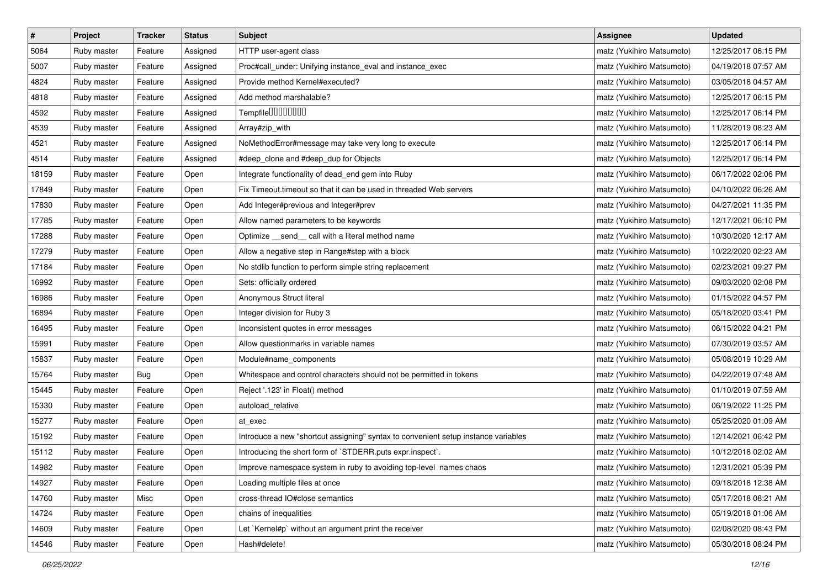| $\sharp$ | Project     | <b>Tracker</b> | <b>Status</b> | <b>Subject</b>                                                                     | <b>Assignee</b>           | <b>Updated</b>      |
|----------|-------------|----------------|---------------|------------------------------------------------------------------------------------|---------------------------|---------------------|
| 5064     | Ruby master | Feature        | Assigned      | HTTP user-agent class                                                              | matz (Yukihiro Matsumoto) | 12/25/2017 06:15 PM |
| 5007     | Ruby master | Feature        | Assigned      | Proc#call_under: Unifying instance_eval and instance_exec                          | matz (Yukihiro Matsumoto) | 04/19/2018 07:57 AM |
| 4824     | Ruby master | Feature        | Assigned      | Provide method Kernel#executed?                                                    | matz (Yukihiro Matsumoto) | 03/05/2018 04:57 AM |
| 4818     | Ruby master | Feature        | Assigned      | Add method marshalable?                                                            | matz (Yukihiro Matsumoto) | 12/25/2017 06:15 PM |
| 4592     | Ruby master | Feature        | Assigned      | Tempfile <sup>[10101010]</sup>                                                     | matz (Yukihiro Matsumoto) | 12/25/2017 06:14 PM |
| 4539     | Ruby master | Feature        | Assigned      | Array#zip_with                                                                     | matz (Yukihiro Matsumoto) | 11/28/2019 08:23 AM |
| 4521     | Ruby master | Feature        | Assigned      | NoMethodError#message may take very long to execute                                | matz (Yukihiro Matsumoto) | 12/25/2017 06:14 PM |
| 4514     | Ruby master | Feature        | Assigned      | #deep_clone and #deep_dup for Objects                                              | matz (Yukihiro Matsumoto) | 12/25/2017 06:14 PM |
| 18159    | Ruby master | Feature        | Open          | Integrate functionality of dead_end gem into Ruby                                  | matz (Yukihiro Matsumoto) | 06/17/2022 02:06 PM |
| 17849    | Ruby master | Feature        | Open          | Fix Timeout.timeout so that it can be used in threaded Web servers                 | matz (Yukihiro Matsumoto) | 04/10/2022 06:26 AM |
| 17830    | Ruby master | Feature        | Open          | Add Integer#previous and Integer#prev                                              | matz (Yukihiro Matsumoto) | 04/27/2021 11:35 PM |
| 17785    | Ruby master | Feature        | Open          | Allow named parameters to be keywords                                              | matz (Yukihiro Matsumoto) | 12/17/2021 06:10 PM |
| 17288    | Ruby master | Feature        | Open          | Optimize _send_ call with a literal method name                                    | matz (Yukihiro Matsumoto) | 10/30/2020 12:17 AM |
| 17279    | Ruby master | Feature        | Open          | Allow a negative step in Range#step with a block                                   | matz (Yukihiro Matsumoto) | 10/22/2020 02:23 AM |
| 17184    | Ruby master | Feature        | Open          | No stdlib function to perform simple string replacement                            | matz (Yukihiro Matsumoto) | 02/23/2021 09:27 PM |
| 16992    | Ruby master | Feature        | Open          | Sets: officially ordered                                                           | matz (Yukihiro Matsumoto) | 09/03/2020 02:08 PM |
| 16986    | Ruby master | Feature        | Open          | Anonymous Struct literal                                                           | matz (Yukihiro Matsumoto) | 01/15/2022 04:57 PM |
| 16894    | Ruby master | Feature        | Open          | Integer division for Ruby 3                                                        | matz (Yukihiro Matsumoto) | 05/18/2020 03:41 PM |
| 16495    | Ruby master | Feature        | Open          | Inconsistent quotes in error messages                                              | matz (Yukihiro Matsumoto) | 06/15/2022 04:21 PM |
| 15991    | Ruby master | Feature        | Open          | Allow questionmarks in variable names                                              | matz (Yukihiro Matsumoto) | 07/30/2019 03:57 AM |
| 15837    | Ruby master | Feature        | Open          | Module#name_components                                                             | matz (Yukihiro Matsumoto) | 05/08/2019 10:29 AM |
| 15764    | Ruby master | <b>Bug</b>     | Open          | Whitespace and control characters should not be permitted in tokens                | matz (Yukihiro Matsumoto) | 04/22/2019 07:48 AM |
| 15445    | Ruby master | Feature        | Open          | Reject '.123' in Float() method                                                    | matz (Yukihiro Matsumoto) | 01/10/2019 07:59 AM |
| 15330    | Ruby master | Feature        | Open          | autoload_relative                                                                  | matz (Yukihiro Matsumoto) | 06/19/2022 11:25 PM |
| 15277    | Ruby master | Feature        | Open          | at exec                                                                            | matz (Yukihiro Matsumoto) | 05/25/2020 01:09 AM |
| 15192    | Ruby master | Feature        | Open          | Introduce a new "shortcut assigning" syntax to convenient setup instance variables | matz (Yukihiro Matsumoto) | 12/14/2021 06:42 PM |
| 15112    | Ruby master | Feature        | Open          | Introducing the short form of `STDERR.puts expr.inspect`.                          | matz (Yukihiro Matsumoto) | 10/12/2018 02:02 AM |
| 14982    | Ruby master | Feature        | Open          | Improve namespace system in ruby to avoiding top-level names chaos                 | matz (Yukihiro Matsumoto) | 12/31/2021 05:39 PM |
| 14927    | Ruby master | Feature        | Open          | Loading multiple files at once                                                     | matz (Yukihiro Matsumoto) | 09/18/2018 12:38 AM |
| 14760    | Ruby master | Misc           | Open          | cross-thread IO#close semantics                                                    | matz (Yukihiro Matsumoto) | 05/17/2018 08:21 AM |
| 14724    | Ruby master | Feature        | Open          | chains of inequalities                                                             | matz (Yukihiro Matsumoto) | 05/19/2018 01:06 AM |
| 14609    | Ruby master | Feature        | Open          | Let `Kernel#p` without an argument print the receiver                              | matz (Yukihiro Matsumoto) | 02/08/2020 08:43 PM |
| 14546    | Ruby master | Feature        | Open          | Hash#delete!                                                                       | matz (Yukihiro Matsumoto) | 05/30/2018 08:24 PM |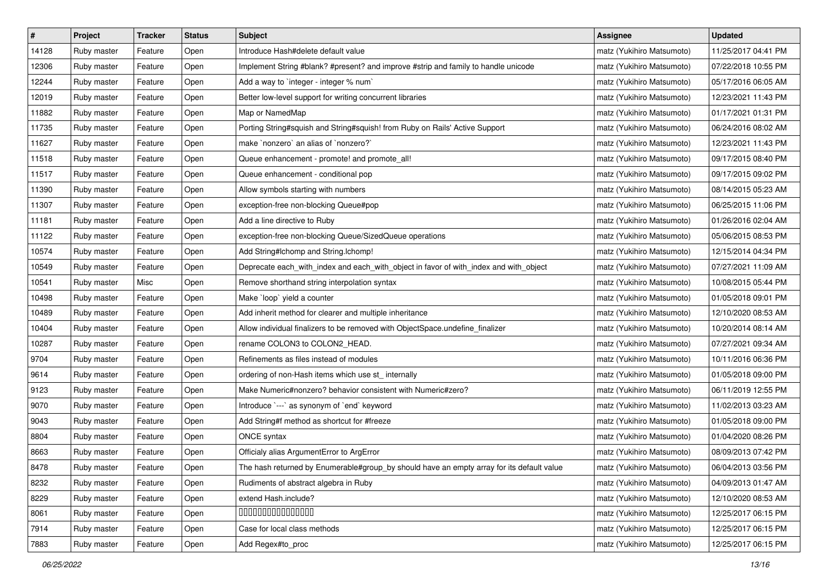| $\vert$ # | Project     | <b>Tracker</b> | <b>Status</b> | <b>Subject</b>                                                                            | <b>Assignee</b>           | <b>Updated</b>      |
|-----------|-------------|----------------|---------------|-------------------------------------------------------------------------------------------|---------------------------|---------------------|
| 14128     | Ruby master | Feature        | Open          | Introduce Hash#delete default value                                                       | matz (Yukihiro Matsumoto) | 11/25/2017 04:41 PM |
| 12306     | Ruby master | Feature        | Open          | Implement String #blank? #present? and improve #strip and family to handle unicode        | matz (Yukihiro Matsumoto) | 07/22/2018 10:55 PM |
| 12244     | Ruby master | Feature        | Open          | Add a way to `integer - integer % num`                                                    | matz (Yukihiro Matsumoto) | 05/17/2016 06:05 AM |
| 12019     | Ruby master | Feature        | Open          | Better low-level support for writing concurrent libraries                                 | matz (Yukihiro Matsumoto) | 12/23/2021 11:43 PM |
| 11882     | Ruby master | Feature        | Open          | Map or NamedMap                                                                           | matz (Yukihiro Matsumoto) | 01/17/2021 01:31 PM |
| 11735     | Ruby master | Feature        | Open          | Porting String#squish and String#squish! from Ruby on Rails' Active Support               | matz (Yukihiro Matsumoto) | 06/24/2016 08:02 AM |
| 11627     | Ruby master | Feature        | Open          | make `nonzero` an alias of `nonzero?`                                                     | matz (Yukihiro Matsumoto) | 12/23/2021 11:43 PM |
| 11518     | Ruby master | Feature        | Open          | Queue enhancement - promote! and promote_all!                                             | matz (Yukihiro Matsumoto) | 09/17/2015 08:40 PM |
| 11517     | Ruby master | Feature        | Open          | Queue enhancement - conditional pop                                                       | matz (Yukihiro Matsumoto) | 09/17/2015 09:02 PM |
| 11390     | Ruby master | Feature        | Open          | Allow symbols starting with numbers                                                       | matz (Yukihiro Matsumoto) | 08/14/2015 05:23 AM |
| 11307     | Ruby master | Feature        | Open          | exception-free non-blocking Queue#pop                                                     | matz (Yukihiro Matsumoto) | 06/25/2015 11:06 PM |
| 11181     | Ruby master | Feature        | Open          | Add a line directive to Ruby                                                              | matz (Yukihiro Matsumoto) | 01/26/2016 02:04 AM |
| 11122     | Ruby master | Feature        | Open          | exception-free non-blocking Queue/SizedQueue operations                                   | matz (Yukihiro Matsumoto) | 05/06/2015 08:53 PM |
| 10574     | Ruby master | Feature        | Open          | Add String#Ichomp and String.Ichomp!                                                      | matz (Yukihiro Matsumoto) | 12/15/2014 04:34 PM |
| 10549     | Ruby master | Feature        | Open          | Deprecate each_with_index and each_with_object in favor of with_index and with_object     | matz (Yukihiro Matsumoto) | 07/27/2021 11:09 AM |
| 10541     | Ruby master | Misc           | Open          | Remove shorthand string interpolation syntax                                              | matz (Yukihiro Matsumoto) | 10/08/2015 05:44 PM |
| 10498     | Ruby master | Feature        | Open          | Make `loop` yield a counter                                                               | matz (Yukihiro Matsumoto) | 01/05/2018 09:01 PM |
| 10489     | Ruby master | Feature        | Open          | Add inherit method for clearer and multiple inheritance                                   | matz (Yukihiro Matsumoto) | 12/10/2020 08:53 AM |
| 10404     | Ruby master | Feature        | Open          | Allow individual finalizers to be removed with ObjectSpace.undefine_finalizer             | matz (Yukihiro Matsumoto) | 10/20/2014 08:14 AM |
| 10287     | Ruby master | Feature        | Open          | rename COLON3 to COLON2_HEAD.                                                             | matz (Yukihiro Matsumoto) | 07/27/2021 09:34 AM |
| 9704      | Ruby master | Feature        | Open          | Refinements as files instead of modules                                                   | matz (Yukihiro Matsumoto) | 10/11/2016 06:36 PM |
| 9614      | Ruby master | Feature        | Open          | ordering of non-Hash items which use st_ internally                                       | matz (Yukihiro Matsumoto) | 01/05/2018 09:00 PM |
| 9123      | Ruby master | Feature        | Open          | Make Numeric#nonzero? behavior consistent with Numeric#zero?                              | matz (Yukihiro Matsumoto) | 06/11/2019 12:55 PM |
| 9070      | Ruby master | Feature        | Open          | Introduce `---` as synonym of `end` keyword                                               | matz (Yukihiro Matsumoto) | 11/02/2013 03:23 AM |
| 9043      | Ruby master | Feature        | Open          | Add String#f method as shortcut for #freeze                                               | matz (Yukihiro Matsumoto) | 01/05/2018 09:00 PM |
| 8804      | Ruby master | Feature        | Open          | ONCE syntax                                                                               | matz (Yukihiro Matsumoto) | 01/04/2020 08:26 PM |
| 8663      | Ruby master | Feature        | Open          | Officialy alias ArgumentError to ArgError                                                 | matz (Yukihiro Matsumoto) | 08/09/2013 07:42 PM |
| 8478      | Ruby master | Feature        | Open          | The hash returned by Enumerable#group_by should have an empty array for its default value | matz (Yukihiro Matsumoto) | 06/04/2013 03:56 PM |
| 8232      | Ruby master | Feature        | Open          | Rudiments of abstract algebra in Ruby                                                     | matz (Yukihiro Matsumoto) | 04/09/2013 01:47 AM |
| 8229      | Ruby master | Feature        | Open          | extend Hash.include?                                                                      | matz (Yukihiro Matsumoto) | 12/10/2020 08:53 AM |
| 8061      | Ruby master | Feature        | Open          | 000000000000000                                                                           | matz (Yukihiro Matsumoto) | 12/25/2017 06:15 PM |
| 7914      | Ruby master | Feature        | Open          | Case for local class methods                                                              | matz (Yukihiro Matsumoto) | 12/25/2017 06:15 PM |
| 7883      | Ruby master | Feature        | Open          | Add Regex#to_proc                                                                         | matz (Yukihiro Matsumoto) | 12/25/2017 06:15 PM |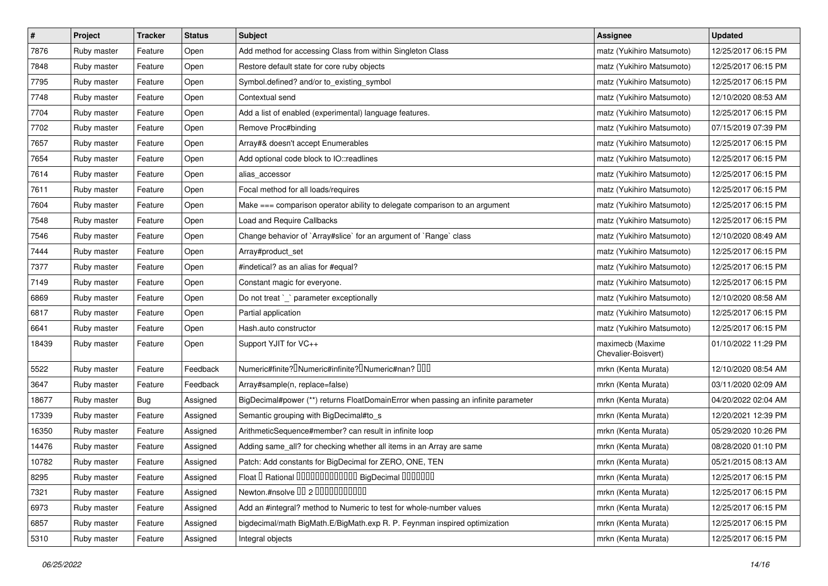| $\sharp$ | Project     | <b>Tracker</b> | <b>Status</b> | <b>Subject</b>                                                                             | <b>Assignee</b>                         | <b>Updated</b>      |
|----------|-------------|----------------|---------------|--------------------------------------------------------------------------------------------|-----------------------------------------|---------------------|
| 7876     | Ruby master | Feature        | Open          | Add method for accessing Class from within Singleton Class                                 | matz (Yukihiro Matsumoto)               | 12/25/2017 06:15 PM |
| 7848     | Ruby master | Feature        | Open          | Restore default state for core ruby objects                                                | matz (Yukihiro Matsumoto)               | 12/25/2017 06:15 PM |
| 7795     | Ruby master | Feature        | Open          | Symbol.defined? and/or to_existing_symbol                                                  | matz (Yukihiro Matsumoto)               | 12/25/2017 06:15 PM |
| 7748     | Ruby master | Feature        | Open          | Contextual send                                                                            | matz (Yukihiro Matsumoto)               | 12/10/2020 08:53 AM |
| 7704     | Ruby master | Feature        | Open          | Add a list of enabled (experimental) language features.                                    | matz (Yukihiro Matsumoto)               | 12/25/2017 06:15 PM |
| 7702     | Ruby master | Feature        | Open          | Remove Proc#binding                                                                        | matz (Yukihiro Matsumoto)               | 07/15/2019 07:39 PM |
| 7657     | Ruby master | Feature        | Open          | Array#& doesn't accept Enumerables                                                         | matz (Yukihiro Matsumoto)               | 12/25/2017 06:15 PM |
| 7654     | Ruby master | Feature        | Open          | Add optional code block to IO::readlines                                                   | matz (Yukihiro Matsumoto)               | 12/25/2017 06:15 PM |
| 7614     | Ruby master | Feature        | Open          | alias_accessor                                                                             | matz (Yukihiro Matsumoto)               | 12/25/2017 06:15 PM |
| 7611     | Ruby master | Feature        | Open          | Focal method for all loads/requires                                                        | matz (Yukihiro Matsumoto)               | 12/25/2017 06:15 PM |
| 7604     | Ruby master | Feature        | Open          | Make === comparison operator ability to delegate comparison to an argument                 | matz (Yukihiro Matsumoto)               | 12/25/2017 06:15 PM |
| 7548     | Ruby master | Feature        | Open          | Load and Require Callbacks                                                                 | matz (Yukihiro Matsumoto)               | 12/25/2017 06:15 PM |
| 7546     | Ruby master | Feature        | Open          | Change behavior of `Array#slice` for an argument of `Range` class                          | matz (Yukihiro Matsumoto)               | 12/10/2020 08:49 AM |
| 7444     | Ruby master | Feature        | Open          | Array#product_set                                                                          | matz (Yukihiro Matsumoto)               | 12/25/2017 06:15 PM |
| 7377     | Ruby master | Feature        | Open          | #indetical? as an alias for #equal?                                                        | matz (Yukihiro Matsumoto)               | 12/25/2017 06:15 PM |
| 7149     | Ruby master | Feature        | Open          | Constant magic for everyone.                                                               | matz (Yukihiro Matsumoto)               | 12/25/2017 06:15 PM |
| 6869     | Ruby master | Feature        | Open          | Do not treat `_` parameter exceptionally                                                   | matz (Yukihiro Matsumoto)               | 12/10/2020 08:58 AM |
| 6817     | Ruby master | Feature        | Open          | Partial application                                                                        | matz (Yukihiro Matsumoto)               | 12/25/2017 06:15 PM |
| 6641     | Ruby master | Feature        | Open          | Hash.auto constructor                                                                      | matz (Yukihiro Matsumoto)               | 12/25/2017 06:15 PM |
| 18439    | Ruby master | Feature        | Open          | Support YJIT for VC++                                                                      | maximecb (Maxime<br>Chevalier-Boisvert) | 01/10/2022 11:29 PM |
| 5522     | Ruby master | Feature        | Feedback      | Numeric#finite? <sup>[]</sup> Numeric#infinite? <sup>[]</sup> Numeric#nan? <sup>[10]</sup> | mrkn (Kenta Murata)                     | 12/10/2020 08:54 AM |
| 3647     | Ruby master | Feature        | Feedback      | Array#sample(n, replace=false)                                                             | mrkn (Kenta Murata)                     | 03/11/2020 02:09 AM |
| 18677    | Ruby master | <b>Bug</b>     | Assigned      | BigDecimal#power (**) returns FloatDomainError when passing an infinite parameter          | mrkn (Kenta Murata)                     | 04/20/2022 02:04 AM |
| 17339    | Ruby master | Feature        | Assigned      | Semantic grouping with BigDecimal#to_s                                                     | mrkn (Kenta Murata)                     | 12/20/2021 12:39 PM |
| 16350    | Ruby master | Feature        | Assigned      | ArithmeticSequence#member? can result in infinite loop                                     | mrkn (Kenta Murata)                     | 05/29/2020 10:26 PM |
| 14476    | Ruby master | Feature        | Assigned      | Adding same_all? for checking whether all items in an Array are same                       | mrkn (Kenta Murata)                     | 08/28/2020 01:10 PM |
| 10782    | Ruby master | Feature        | Assigned      | Patch: Add constants for BigDecimal for ZERO, ONE, TEN                                     | mrkn (Kenta Murata)                     | 05/21/2015 08:13 AM |
| 8295     | Ruby master | Feature        | Assigned      | Float I Rational IIIIIIIIIIIIIIIIIII BigDecimal IIIIIIIIII                                 | mrkn (Kenta Murata)                     | 12/25/2017 06:15 PM |
| 7321     | Ruby master | Feature        | Assigned      | Newton.#nsolve 00 2 0000000000                                                             | mrkn (Kenta Murata)                     | 12/25/2017 06:15 PM |
| 6973     | Ruby master | Feature        | Assigned      | Add an #integral? method to Numeric to test for whole-number values                        | mrkn (Kenta Murata)                     | 12/25/2017 06:15 PM |
| 6857     | Ruby master | Feature        | Assigned      | bigdecimal/math BigMath.E/BigMath.exp R. P. Feynman inspired optimization                  | mrkn (Kenta Murata)                     | 12/25/2017 06:15 PM |
| 5310     | Ruby master | Feature        | Assigned      | Integral objects                                                                           | mrkn (Kenta Murata)                     | 12/25/2017 06:15 PM |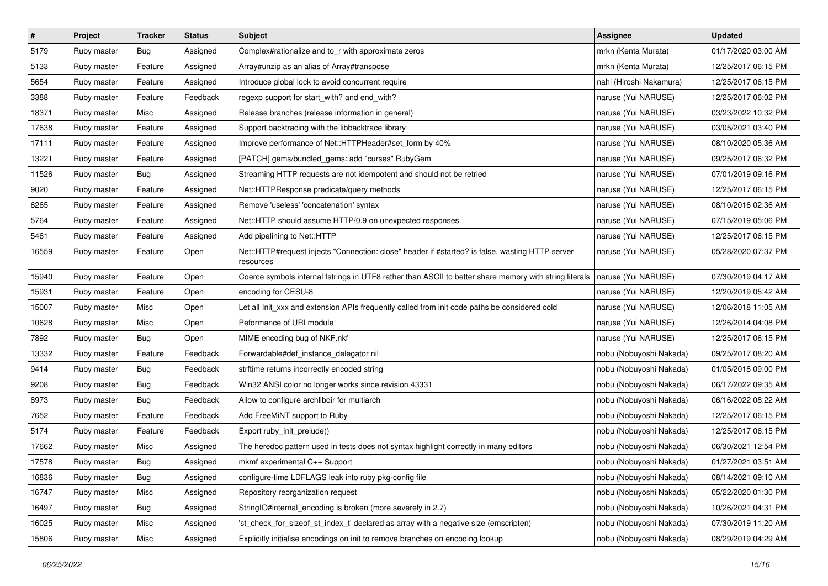| $\vert$ # | Project     | <b>Tracker</b> | <b>Status</b> | Subject                                                                                                      | <b>Assignee</b>         | <b>Updated</b>      |
|-----------|-------------|----------------|---------------|--------------------------------------------------------------------------------------------------------------|-------------------------|---------------------|
| 5179      | Ruby master | <b>Bug</b>     | Assigned      | Complex#rationalize and to_r with approximate zeros                                                          | mrkn (Kenta Murata)     | 01/17/2020 03:00 AM |
| 5133      | Ruby master | Feature        | Assigned      | Array#unzip as an alias of Array#transpose                                                                   | mrkn (Kenta Murata)     | 12/25/2017 06:15 PM |
| 5654      | Ruby master | Feature        | Assigned      | Introduce global lock to avoid concurrent require                                                            | nahi (Hiroshi Nakamura) | 12/25/2017 06:15 PM |
| 3388      | Ruby master | Feature        | Feedback      | regexp support for start_with? and end_with?                                                                 | naruse (Yui NARUSE)     | 12/25/2017 06:02 PM |
| 18371     | Ruby master | Misc           | Assigned      | Release branches (release information in general)                                                            | naruse (Yui NARUSE)     | 03/23/2022 10:32 PM |
| 17638     | Ruby master | Feature        | Assigned      | Support backtracing with the libbacktrace library                                                            | naruse (Yui NARUSE)     | 03/05/2021 03:40 PM |
| 17111     | Ruby master | Feature        | Assigned      | Improve performance of Net::HTTPHeader#set_form by 40%                                                       | naruse (Yui NARUSE)     | 08/10/2020 05:36 AM |
| 13221     | Ruby master | Feature        | Assigned      | [PATCH] gems/bundled_gems: add "curses" RubyGem                                                              | naruse (Yui NARUSE)     | 09/25/2017 06:32 PM |
| 11526     | Ruby master | <b>Bug</b>     | Assigned      | Streaming HTTP requests are not idempotent and should not be retried                                         | naruse (Yui NARUSE)     | 07/01/2019 09:16 PM |
| 9020      | Ruby master | Feature        | Assigned      | Net::HTTPResponse predicate/query methods                                                                    | naruse (Yui NARUSE)     | 12/25/2017 06:15 PM |
| 6265      | Ruby master | Feature        | Assigned      | Remove 'useless' 'concatenation' syntax                                                                      | naruse (Yui NARUSE)     | 08/10/2016 02:36 AM |
| 5764      | Ruby master | Feature        | Assigned      | Net::HTTP should assume HTTP/0.9 on unexpected responses                                                     | naruse (Yui NARUSE)     | 07/15/2019 05:06 PM |
| 5461      | Ruby master | Feature        | Assigned      | Add pipelining to Net::HTTP                                                                                  | naruse (Yui NARUSE)     | 12/25/2017 06:15 PM |
| 16559     | Ruby master | Feature        | Open          | Net::HTTP#request injects "Connection: close" header if #started? is false, wasting HTTP server<br>resources | naruse (Yui NARUSE)     | 05/28/2020 07:37 PM |
| 15940     | Ruby master | Feature        | Open          | Coerce symbols internal fstrings in UTF8 rather than ASCII to better share memory with string literals       | naruse (Yui NARUSE)     | 07/30/2019 04:17 AM |
| 15931     | Ruby master | Feature        | Open          | encoding for CESU-8                                                                                          | naruse (Yui NARUSE)     | 12/20/2019 05:42 AM |
| 15007     | Ruby master | Misc           | Open          | Let all Init_xxx and extension APIs frequently called from init code paths be considered cold                | naruse (Yui NARUSE)     | 12/06/2018 11:05 AM |
| 10628     | Ruby master | Misc           | Open          | Peformance of URI module                                                                                     | naruse (Yui NARUSE)     | 12/26/2014 04:08 PM |
| 7892      | Ruby master | Bug            | Open          | MIME encoding bug of NKF.nkf                                                                                 | naruse (Yui NARUSE)     | 12/25/2017 06:15 PM |
| 13332     | Ruby master | Feature        | Feedback      | Forwardable#def_instance_delegator nil                                                                       | nobu (Nobuyoshi Nakada) | 09/25/2017 08:20 AM |
| 9414      | Ruby master | <b>Bug</b>     | Feedback      | strftime returns incorrectly encoded string                                                                  | nobu (Nobuyoshi Nakada) | 01/05/2018 09:00 PM |
| 9208      | Ruby master | <b>Bug</b>     | Feedback      | Win32 ANSI color no longer works since revision 43331                                                        | nobu (Nobuyoshi Nakada) | 06/17/2022 09:35 AM |
| 8973      | Ruby master | <b>Bug</b>     | Feedback      | Allow to configure archlibdir for multiarch                                                                  | nobu (Nobuyoshi Nakada) | 06/16/2022 08:22 AM |
| 7652      | Ruby master | Feature        | Feedback      | Add FreeMiNT support to Ruby                                                                                 | nobu (Nobuyoshi Nakada) | 12/25/2017 06:15 PM |
| 5174      | Ruby master | Feature        | Feedback      | Export ruby_init_prelude()                                                                                   | nobu (Nobuyoshi Nakada) | 12/25/2017 06:15 PM |
| 17662     | Ruby master | Misc           | Assigned      | The heredoc pattern used in tests does not syntax highlight correctly in many editors                        | nobu (Nobuyoshi Nakada) | 06/30/2021 12:54 PM |
| 17578     | Ruby master | <b>Bug</b>     | Assigned      | mkmf experimental C++ Support                                                                                | nobu (Nobuyoshi Nakada) | 01/27/2021 03:51 AM |
| 16836     | Ruby master | Bug            | Assigned      | configure-time LDFLAGS leak into ruby pkg-config file                                                        | nobu (Nobuyoshi Nakada) | 08/14/2021 09:10 AM |
| 16747     | Ruby master | Misc           | Assigned      | Repository reorganization request                                                                            | nobu (Nobuyoshi Nakada) | 05/22/2020 01:30 PM |
| 16497     | Ruby master | <b>Bug</b>     | Assigned      | StringIO#internal_encoding is broken (more severely in 2.7)                                                  | nobu (Nobuyoshi Nakada) | 10/26/2021 04:31 PM |
| 16025     | Ruby master | Misc           | Assigned      | 'st_check_for_sizeof_st_index_t' declared as array with a negative size (emscripten)                         | nobu (Nobuyoshi Nakada) | 07/30/2019 11:20 AM |
| 15806     | Ruby master | Misc           | Assigned      | Explicitly initialise encodings on init to remove branches on encoding lookup                                | nobu (Nobuyoshi Nakada) | 08/29/2019 04:29 AM |